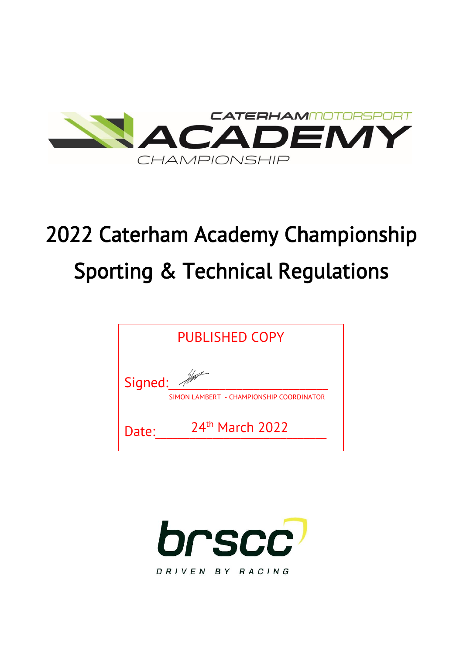

# 2022 Caterham Academy Championship Sporting & Technical Regulations

| <b>PUBLISHED COPY</b> |                                          |  |
|-----------------------|------------------------------------------|--|
| Signed:               | SIMON LAMBERT - CHAMPIONSHIP COORDINATOR |  |
| Date:                 | $24th$ March 2022                        |  |

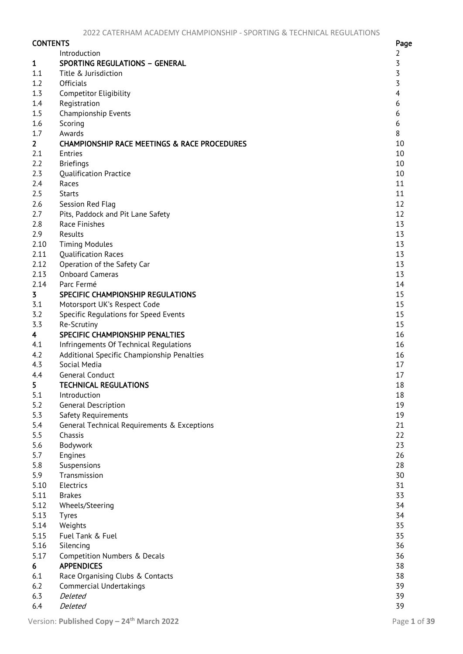| <b>CONTENTS</b>         |                                                         | Page           |
|-------------------------|---------------------------------------------------------|----------------|
|                         | Introduction                                            | $\overline{2}$ |
| $\mathbf{1}$            | <b>SPORTING REGULATIONS - GENERAL</b>                   | 3              |
| 1.1                     | Title & Jurisdiction                                    | $\overline{3}$ |
| 1.2                     | <b>Officials</b>                                        | $\overline{3}$ |
| 1.3                     | <b>Competitor Eligibility</b>                           | $\overline{4}$ |
| 1.4                     | Registration                                            | 6              |
| 1.5                     | Championship Events                                     | 6              |
| 1.6                     | Scoring                                                 | 6              |
| 1.7                     | Awards                                                  | 8              |
| 2 <sup>1</sup>          | <b>CHAMPIONSHIP RACE MEETINGS &amp; RACE PROCEDURES</b> | 10             |
| 2.1                     | Entries                                                 | 10             |
| 2.2                     | <b>Briefings</b>                                        | 10             |
| 2.3                     | <b>Qualification Practice</b>                           | 10             |
| 2.4                     | Races                                                   | 11             |
| 2.5                     | <b>Starts</b>                                           | 11             |
| 2.6                     | Session Red Flaq                                        | 12             |
| 2.7                     | Pits, Paddock and Pit Lane Safety                       | 12             |
| 2.8                     | Race Finishes                                           | 13             |
| 2.9                     | Results                                                 | 13             |
| 2.10                    | <b>Timing Modules</b>                                   | 13             |
| 2.11                    | <b>Qualification Races</b>                              | 13             |
| 2.12                    | Operation of the Safety Car                             | 13             |
| 2.13                    | <b>Onboard Cameras</b>                                  | 13             |
| 2.14                    | Parc Fermé                                              | 14             |
| 3                       | SPECIFIC CHAMPIONSHIP REGULATIONS                       | 15             |
| 3.1                     | Motorsport UK's Respect Code                            | 15             |
| 3.2                     | Specific Regulations for Speed Events                   | 15             |
| 3.3                     | Re-Scrutiny                                             | 15             |
| $\overline{\mathbf{4}}$ | SPECIFIC CHAMPIONSHIP PENALTIES                         | 16             |
| 4.1                     | Infringements Of Technical Regulations                  | 16             |
| 4.2                     | Additional Specific Championship Penalties              | 16             |
| 4.3                     | Social Media                                            | 17             |
| 4.4                     | <b>General Conduct</b>                                  | 17             |
| 5                       | <b>TECHNICAL REGULATIONS</b>                            | 18             |
| 5.1                     | Introduction                                            | 18             |
| 5.2                     | General Description                                     | 19             |
| 5.3                     | Safety Requirements                                     | 19             |
| 5.4                     | General Technical Requirements & Exceptions             | 21             |
| 5.5                     | Chassis                                                 | 22             |
| 5.6                     | Bodywork                                                | 23             |
| 5.7                     | Engines                                                 | 26             |
| 5.8                     | Suspensions                                             | 28             |
| 5.9                     | Transmission                                            | 30             |
| 5.10                    | Electrics                                               | 31             |
| 5.11                    | <b>Brakes</b>                                           | 33             |
| 5.12                    | Wheels/Steering                                         | 34             |
| 5.13                    | <b>Tyres</b>                                            | 34             |
| 5.14                    | Weights                                                 | 35             |
| 5.15                    | Fuel Tank & Fuel                                        | 35             |
| 5.16                    | Silencing                                               | 36             |
| 5.17                    | Competition Numbers & Decals                            | 36             |
| 6                       | <b>APPENDICES</b>                                       | 38             |
| 6.1                     | Race Organising Clubs & Contacts                        | 38             |
| 6.2                     | <b>Commercial Undertakings</b>                          | 39             |
| 6.3                     | Deleted                                                 | 39             |
| 6.4                     | Deleted                                                 | 39             |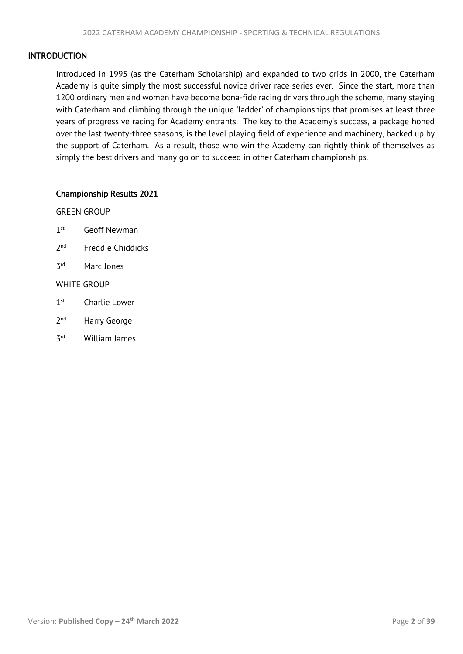# <span id="page-2-1"></span><span id="page-2-0"></span>INTRODUCTION

Introduced in 1995 (as the Caterham Scholarship) and expanded to two grids in 2000, the Caterham Academy is quite simply the most successful novice driver race series ever. Since the start, more than 1200 ordinary men and women have become bona-fide racing drivers through the scheme, many staying with Caterham and climbing through the unique 'ladder' of championships that promises at least three years of progressive racing for Academy entrants. The key to the Academy's success, a package honed over the last twenty-three seasons, is the level playing field of experience and machinery, backed up by the support of Caterham. As a result, those who win the Academy can rightly think of themselves as simply the best drivers and many go on to succeed in other Caterham championships.

# Championship Results 2021

GREEN GROUP

- $1<sup>st</sup>$ Geoff Newman
- $2<sub>nd</sub>$ Freddie Chiddicks
- **z**<sub>rd</sub> Marc Jones

# WHITE GROUP

- $1<sup>st</sup>$ Charlie Lower
- $2<sub>nd</sub>$ Harry George
- **z**<sub>rd</sub> William James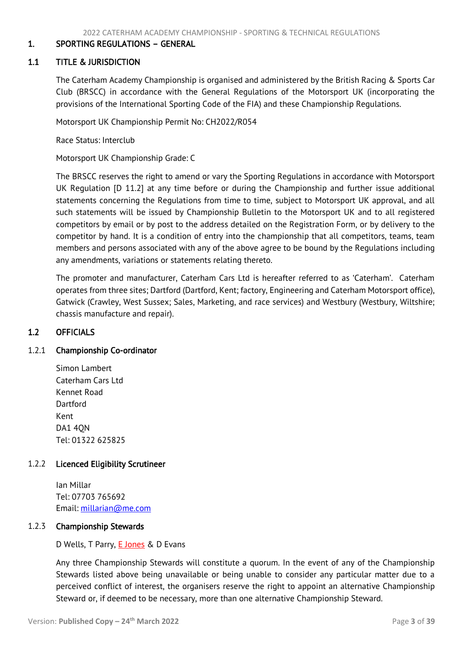# <span id="page-3-3"></span><span id="page-3-0"></span>1. SPORTING REGULATIONS – GENERAL

## 1.1 TITLE & JURISDICTION

<span id="page-3-1"></span>The Caterham Academy Championship is organised and administered by the British Racing & Sports Car Club (BRSCC) in accordance with the General Regulations of the Motorsport UK (incorporating the provisions of the International Sporting Code of the FIA) and these Championship Regulations.

Motorsport UK Championship Permit No: CH2022/R054

Race Status: Interclub

Motorsport UK Championship Grade: C

The BRSCC reserves the right to amend or vary the Sporting Regulations in accordance with Motorsport UK Regulation [D 11.2] at any time before or during the Championship and further issue additional statements concerning the Regulations from time to time, subject to Motorsport UK approval, and all such statements will be issued by Championship Bulletin to the Motorsport UK and to all registered competitors by email or by post to the address detailed on the Registration Form, or by delivery to the competitor by hand. It is a condition of entry into the championship that all competitors, teams, team members and persons associated with any of the above agree to be bound by the Regulations including any amendments, variations or statements relating thereto.

The promoter and manufacturer, Caterham Cars Ltd is hereafter referred to as 'Caterham'. Caterham operates from three sites; Dartford (Dartford, Kent; factory, Engineering and Caterham Motorsport office), Gatwick (Crawley, West Sussex; Sales, Marketing, and race services) and Westbury (Westbury, Wiltshire; chassis manufacture and repair).

# <span id="page-3-2"></span>1.2 OFFICIALS

#### 1.2.1 Championship Co-ordinator

Simon Lambert Caterham Cars Ltd Kennet Road Dartford Kent DA1 4QN Tel: 01322 625825

#### 1.2.2 Licenced Eligibility Scrutineer

Ian Millar Tel: 07703 765692 Email: [millarian@me.com](mailto:millarian@me.com)

#### 1.2.3 Championship Stewards

D Wells, T Parry, **E Jones** & D Evans

Any three Championship Stewards will constitute a quorum. In the event of any of the Championship Stewards listed above being unavailable or being unable to consider any particular matter due to a perceived conflict of interest, the organisers reserve the right to appoint an alternative Championship Steward or, if deemed to be necessary, more than one alternative Championship Steward.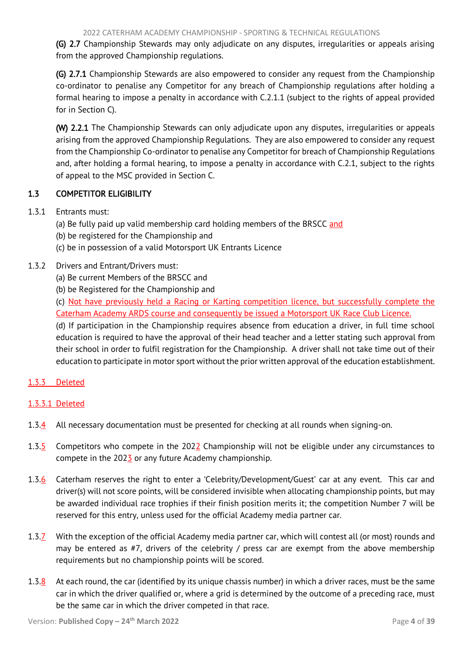<span id="page-4-1"></span>(G) 2.7 Championship Stewards may only adjudicate on any disputes, irregularities or appeals arising from the approved Championship regulations.

(G) 2.7.1 Championship Stewards are also empowered to consider any request from the Championship co-ordinator to penalise any Competitor for any breach of Championship regulations after holding a formal hearing to impose a penalty in accordance with C.2.1.1 (subject to the rights of appeal provided for in Section C).

(W) 2.2.1 The Championship Stewards can only adjudicate upon any disputes, irregularities or appeals arising from the approved Championship Regulations. They are also empowered to consider any request from the Championship Co-ordinator to penalise any Competitor for breach of Championship Regulations and, after holding a formal hearing, to impose a penalty in accordance with C.2.1, subject to the rights of appeal to the MSC provided in Section C.

# <span id="page-4-0"></span>1.3 COMPETITOR ELIGIBILITY

- 1.3.1 Entrants must:
	- (a) Be fully paid up valid membership card holding members of the BRSCC and
	- (b) be registered for the Championship and
	- (c) be in possession of a valid Motorsport UK Entrants Licence

# 1.3.2 Drivers and Entrant/Drivers must:

- (a) Be current Members of the BRSCC and
- (b) be Registered for the Championship and

(c) Not have previously held a Racing or Karting competition licence, but successfully complete the Caterham Academy ARDS course and consequently be issued a Motorsport UK Race Club Licence.

(d) If participation in the Championship requires absence from education a driver, in full time school education is required to have the approval of their head teacher and a letter stating such approval from their school in order to fulfil registration for the Championship. A driver shall not take time out of their education to participate in motor sport without the prior written approval of the education establishment.

# 1.3.3 Deleted

# 1.3.3.1 Deleted

- 1.3.4 All necessary documentation must be presented for checking at all rounds when signing-on.
- 1.3.5 Competitors who compete in the 2022 Championship will not be eligible under any circumstances to compete in the  $202\frac{7}{2}$  or any future Academy championship.
- 1.3.6 Caterham reserves the right to enter a 'Celebrity/Development/Guest' car at any event. This car and driver(s) will not score points, will be considered invisible when allocating championship points, but may be awarded individual race trophies if their finish position merits it; the competition Number 7 will be reserved for this entry, unless used for the official Academy media partner car.
- 1.3.7 With the exception of the official Academy media partner car, which will contest all (or most) rounds and may be entered as #7, drivers of the celebrity / press car are exempt from the above membership requirements but no championship points will be scored.
- 1.3.8 At each round, the car (identified by its unique chassis number) in which a driver races, must be the same car in which the driver qualified or, where a grid is determined by the outcome of a preceding race, must be the same car in which the driver competed in that race.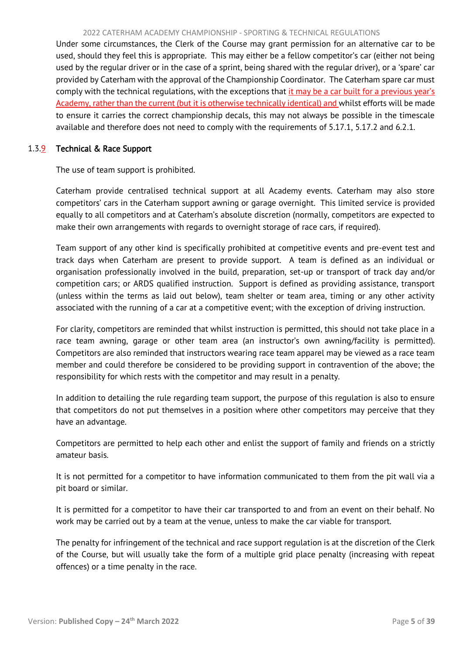#### 2022 CATERHAM ACADEMY CHAMPIONSHIP - SPORTING & TECHNICAL REGULATIONS

Under some circumstances, the Clerk of the Course may grant permission for an alternative car to be used, should they feel this is appropriate. This may either be a fellow competitor's car (either not being used by the regular driver or in the case of a sprint, being shared with the regular driver), or a 'spare' car provided by Caterham with the approval of the Championship Coordinator. The Caterham spare car must comply with the technical regulations, with the exceptions that it may be a car built for a previous year's Academy, rather than the current (but it is otherwise technically identical) and whilst efforts will be made to ensure it carries the correct championship decals, this may not always be possible in the timescale available and therefore does not need to comply with the requirements of 5.17.1, 5.17.2 and 6.2.1.

# 1.3.9 Technical & Race Support

The use of team support is prohibited.

Caterham provide centralised technical support at all Academy events. Caterham may also store competitors' cars in the Caterham support awning or garage overnight. This limited service is provided equally to all competitors and at Caterham's absolute discretion (normally, competitors are expected to make their own arrangements with regards to overnight storage of race cars, if required).

Team support of any other kind is specifically prohibited at competitive events and pre-event test and track days when Caterham are present to provide support. A team is defined as an individual or organisation professionally involved in the build, preparation, set-up or transport of track day and/or competition cars; or ARDS qualified instruction. Support is defined as providing assistance, transport (unless within the terms as laid out below), team shelter or team area, timing or any other activity associated with the running of a car at a competitive event; with the exception of driving instruction.

For clarity, competitors are reminded that whilst instruction is permitted, this should not take place in a race team awning, garage or other team area (an instructor's own awning/facility is permitted). Competitors are also reminded that instructors wearing race team apparel may be viewed as a race team member and could therefore be considered to be providing support in contravention of the above; the responsibility for which rests with the competitor and may result in a penalty.

In addition to detailing the rule regarding team support, the purpose of this regulation is also to ensure that competitors do not put themselves in a position where other competitors may perceive that they have an advantage.

Competitors are permitted to help each other and enlist the support of family and friends on a strictly amateur basis.

It is not permitted for a competitor to have information communicated to them from the pit wall via a pit board or similar.

It is permitted for a competitor to have their car transported to and from an event on their behalf. No work may be carried out by a team at the venue, unless to make the car viable for transport.

The penalty for infringement of the technical and race support regulation is at the discretion of the Clerk of the Course, but will usually take the form of a multiple grid place penalty (increasing with repeat offences) or a time penalty in the race.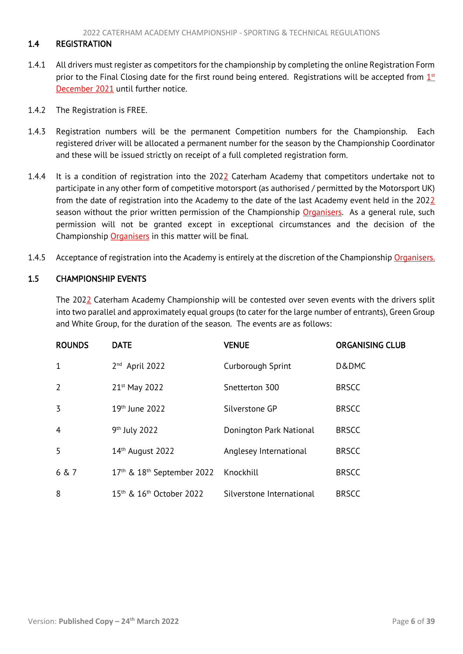# <span id="page-6-3"></span><span id="page-6-0"></span>1.4 REGISTRATION

- 1.4.1 All drivers must register as competitors for the championship by completing the online Registration Form prior to the Final Closing date for the first round being entered. Registrations will be accepted from  $1<sup>st</sup>$ December 2021 until further notice.
- 1.4.2 The Registration is FREE.
- 1.4.3 Registration numbers will be the permanent Competition numbers for the Championship. Each registered driver will be allocated a permanent number for the season by the Championship Coordinator and these will be issued strictly on receipt of a full completed registration form.
- 1.4.4 It is a condition of registration into the 2022 Caterham Academy that competitors undertake not to participate in any other form of competitive motorsport (as authorised / permitted by the Motorsport UK) from the date of registration into the Academy to the date of the last Academy event held in the 2022 season without the prior written permission of the Championship Organisers. As a general rule, such permission will not be granted except in exceptional circumstances and the decision of the Championship Organisers in this matter will be final.
- 1.4.5 Acceptance of registration into the Academy is entirely at the discretion of the Championship Organisers.

# <span id="page-6-1"></span>1.5 CHAMPIONSHIP EVENTS

<span id="page-6-2"></span>The 2022 Caterham Academy Championship will be contested over seven events with the drivers split into two parallel and approximately equal groups (to cater for the large number of entrants), Green Group and White Group, for the duration of the season. The events are as follows:

| <b>ROUNDS</b>  | <b>DATE</b>                                      | <b>VENUE</b>              | <b>ORGANISING CLUB</b> |
|----------------|--------------------------------------------------|---------------------------|------------------------|
| 1              | 2 <sup>nd</sup> April 2022                       | Curborough Sprint         | D&DMC                  |
| $\overline{2}$ | 21 <sup>st</sup> May 2022                        | Snetterton 300            | <b>BRSCC</b>           |
| 3              | 19th June 2022                                   | Silverstone GP            | <b>BRSCC</b>           |
| $\overline{4}$ | 9 <sup>th</sup> July 2022                        | Donington Park National   | <b>BRSCC</b>           |
| 5              | 14th August 2022                                 | Anglesey International    | <b>BRSCC</b>           |
| 6 & 7          | $17th$ & $18th$ September 2022                   | Knockhill                 | <b>BRSCC</b>           |
| 8              | 15 <sup>th</sup> & 16 <sup>th</sup> October 2022 | Silverstone International | <b>BRSCC</b>           |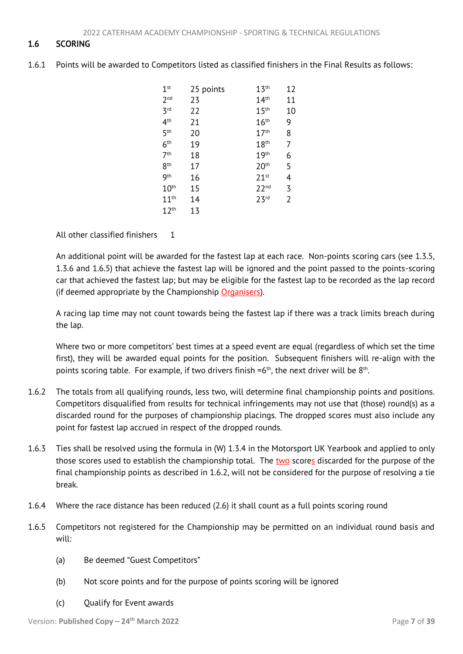# 1.6 SCORING

1.6.1 Points will be awarded to Competitors listed as classified finishers in the Final Results as follows:

| 1 <sup>st</sup>  | 25 points | 13 <sup>th</sup>   | 12 |
|------------------|-----------|--------------------|----|
| 2 <sub>nd</sub>  | 23        | 14 <sup>th</sup>   | 11 |
| 3 <sup>rd</sup>  | 22        | 15 <sup>th</sup>   | 10 |
| 4 <sup>th</sup>  | 21        | $16^{\text{th}}$   | 9  |
| 5 <sup>th</sup>  | 20        | 17 <sup>th</sup>   | 8  |
| 6 <sup>th</sup>  | 19        | 18 <sup>th</sup>   | 7  |
| 7 <sup>th</sup>  | 18        | 19 <sup>th</sup>   | 6  |
| 8 <sup>th</sup>  | 17        | 20 <sup>th</sup>   | 5  |
| 9 <sup>th</sup>  | 16        | $71$ <sup>st</sup> | 4  |
| 10 <sup>th</sup> | 15        | 22 <sup>nd</sup>   | 3  |
| 11 <sup>th</sup> | 14        | 23 <sup>rd</sup>   | 2  |
| 12 <sup>th</sup> | 13        |                    |    |

All other classified finishers 1

An additional point will be awarded for the fastest lap at each race. Non-points scoring cars (see 1.3.5, 1.3.6 and 1.6.5) that achieve the fastest lap will be ignored and the point passed to the points-scoring car that achieved the fastest lap; but may be eligible for the fastest lap to be recorded as the lap record (if deemed appropriate by the Championship Organisers).

A racing lap time may not count towards being the fastest lap if there was a track limits breach during the lap.

Where two or more competitors' best times at a speed event are equal (regardless of which set the time first), they will be awarded equal points for the position. Subsequent finishers will re-align with the points scoring table. For example, if two drivers finish  $=6<sup>th</sup>$ , the next driver will be  $8<sup>th</sup>$ .

- 1.6.2 The totals from all qualifying rounds, less two, will determine final championship points and positions. Competitors disqualified from results for technical infringements may not use that (those) round(s) as a discarded round for the purposes of championship placings. The dropped scores must also include any point for fastest lap accrued in respect of the dropped rounds.
- 1.6.3 Ties shall be resolved using the formula in (W) 1.3.4 in the Motorsport UK Yearbook and applied to only those scores used to establish the championship total. The two scores discarded for the purpose of the final championship points as described in 1.6.2, will not be considered for the purpose of resolving a tie break.
- 1.6.4 Where the race distance has been reduced (2.6) it shall count as a full points scoring round
- 1.6.5 Competitors not registered for the Championship may be permitted on an individual round basis and will:
	- (a) Be deemed "Guest Competitors"
	- (b) Not score points and for the purpose of points scoring will be ignored
	- (c) Qualify for Event awards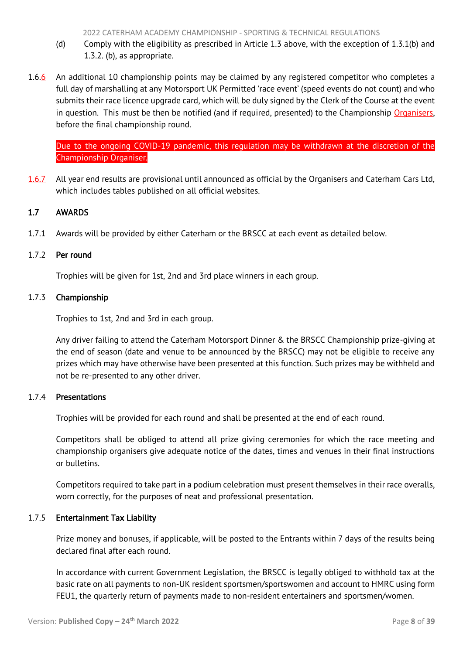- <span id="page-8-1"></span>(d) Comply with the eligibility as prescribed in Article 1.3 above, with the exception of 1.3.1(b) and 1.3.2. (b), as appropriate.
- 1.6.6 An additional 10 championship points may be claimed by any registered competitor who completes a full day of marshalling at any Motorsport UK Permitted 'race event' (speed events do not count) and who submits their race licence upgrade card, which will be duly signed by the Clerk of the Course at the event in question. This must be then be notified (and if required, presented) to the Championship Organisers, before the final championship round.

Due to the ongoing COVID-19 pandemic, this regulation may be withdrawn at the discretion of the Championship Organiser.

1.6.7 All year end results are provisional until announced as official by the Organisers and Caterham Cars Ltd, which includes tables published on all official websites.

# <span id="page-8-0"></span>1.7 AWARDS

1.7.1 Awards will be provided by either Caterham or the BRSCC at each event as detailed below.

# 1.7.2 Per round

Trophies will be given for 1st, 2nd and 3rd place winners in each group.

# 1.7.3 Championship

Trophies to 1st, 2nd and 3rd in each group.

Any driver failing to attend the Caterham Motorsport Dinner & the BRSCC Championship prize-giving at the end of season (date and venue to be announced by the BRSCC) may not be eligible to receive any prizes which may have otherwise have been presented at this function. Such prizes may be withheld and not be re-presented to any other driver.

# 1.7.4 Presentations

Trophies will be provided for each round and shall be presented at the end of each round.

Competitors shall be obliged to attend all prize giving ceremonies for which the race meeting and championship organisers give adequate notice of the dates, times and venues in their final instructions or bulletins.

Competitors required to take part in a podium celebration must present themselves in their race overalls, worn correctly, for the purposes of neat and professional presentation.

# 1.7.5 Entertainment Tax Liability

Prize money and bonuses, if applicable, will be posted to the Entrants within 7 days of the results being declared final after each round.

In accordance with current Government Legislation, the BRSCC is legally obliged to withhold tax at the basic rate on all payments to non-UK resident sportsmen/sportswomen and account to HMRC using form FEU1, the quarterly return of payments made to non-resident entertainers and sportsmen/women.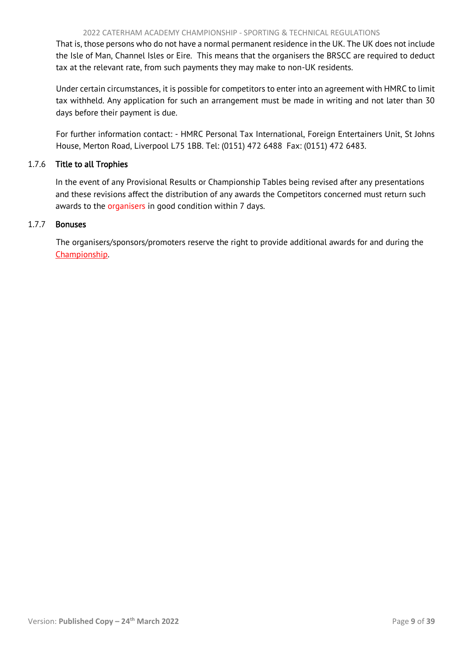That is, those persons who do not have a normal permanent residence in the UK. The UK does not include the Isle of Man, Channel Isles or Eire. This means that the organisers the BRSCC are required to deduct tax at the relevant rate, from such payments they may make to non-UK residents.

Under certain circumstances, it is possible for competitors to enter into an agreement with HMRC to limit tax withheld. Any application for such an arrangement must be made in writing and not later than 30 days before their payment is due.

For further information contact: - HMRC Personal Tax International, Foreign Entertainers Unit, St Johns House, Merton Road, Liverpool L75 1BB. Tel: (0151) 472 6488 Fax: (0151) 472 6483.

# 1.7.6 Title to all Trophies

In the event of any Provisional Results or Championship Tables being revised after any presentations and these revisions affect the distribution of any awards the Competitors concerned must return such awards to the organisers in good condition within 7 days.

# 1.7.7 Bonuses

The organisers/sponsors/promoters reserve the right to provide additional awards for and during the Championship.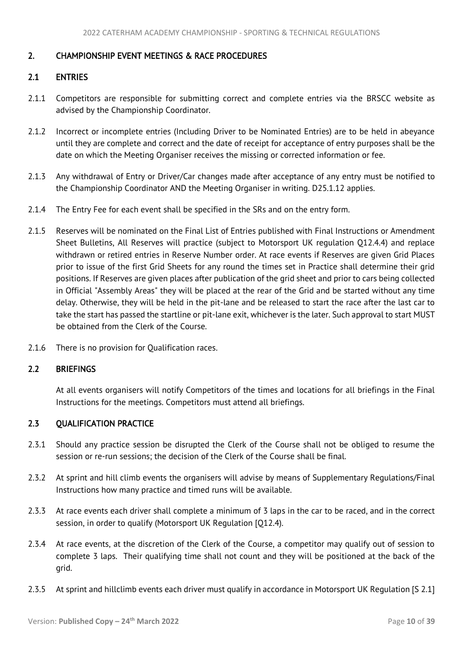# <span id="page-10-4"></span><span id="page-10-0"></span>2. CHAMPIONSHIP EVENT MEETINGS & RACE PROCEDURES

# <span id="page-10-1"></span>2.1 ENTRIES

- 2.1.1 Competitors are responsible for submitting correct and complete entries via the BRSCC website as advised by the Championship Coordinator.
- 2.1.2 Incorrect or incomplete entries (Including Driver to be Nominated Entries) are to be held in abeyance until they are complete and correct and the date of receipt for acceptance of entry purposes shall be the date on which the Meeting Organiser receives the missing or corrected information or fee.
- 2.1.3 Any withdrawal of Entry or Driver/Car changes made after acceptance of any entry must be notified to the Championship Coordinator AND the Meeting Organiser in writing. D25.1.12 applies.
- 2.1.4 The Entry Fee for each event shall be specified in the SRs and on the entry form.
- 2.1.5 Reserves will be nominated on the Final List of Entries published with Final Instructions or Amendment Sheet Bulletins, All Reserves will practice (subject to Motorsport UK regulation Q12.4.4) and replace withdrawn or retired entries in Reserve Number order. At race events if Reserves are given Grid Places prior to issue of the first Grid Sheets for any round the times set in Practice shall determine their grid positions. If Reserves are given places after publication of the grid sheet and prior to cars being collected in Official "Assembly Areas" they will be placed at the rear of the Grid and be started without any time delay. Otherwise, they will be held in the pit-lane and be released to start the race after the last car to take the start has passed the startline or pit-lane exit, whichever is the later. Such approval to start MUST be obtained from the Clerk of the Course.
- 2.1.6 There is no provision for Qualification races.

# <span id="page-10-2"></span>2.2 BRIEFINGS

<span id="page-10-3"></span>At all events organisers will notify Competitors of the times and locations for all briefings in the Final Instructions for the meetings. Competitors must attend all briefings.

# 2.3 QUALIFICATION PRACTICE

- 2.3.1 Should any practice session be disrupted the Clerk of the Course shall not be obliged to resume the session or re-run sessions; the decision of the Clerk of the Course shall be final.
- 2.3.2 At sprint and hill climb events the organisers will advise by means of Supplementary Regulations/Final Instructions how many practice and timed runs will be available.
- 2.3.3 At race events each driver shall complete a minimum of 3 laps in the car to be raced, and in the correct session, in order to qualify (Motorsport UK Regulation [Q12.4).
- 2.3.4 At race events, at the discretion of the Clerk of the Course, a competitor may qualify out of session to complete 3 laps. Their qualifying time shall not count and they will be positioned at the back of the grid.
- 2.3.5 At sprint and hillclimb events each driver must qualify in accordance in Motorsport UK Regulation [S 2.1]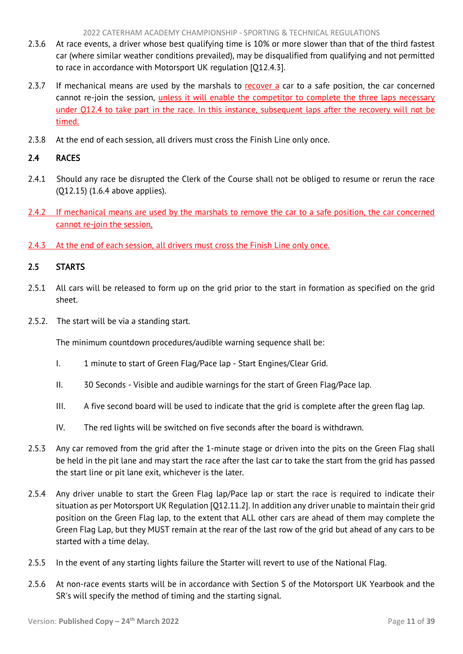- <span id="page-11-2"></span>2.3.6 At race events, a driver whose best qualifying time is 10% or more slower than that of the third fastest car (where similar weather conditions prevailed), may be disqualified from qualifying and not permitted to race in accordance with Motorsport UK regulation [Q12.4.3].
- 2.3.7 If mechanical means are used by the marshals to recover a car to a safe position, the car concerned cannot re-join the session, unless it will enable the competitor to complete the three laps necessary under Q12.4 to take part in the race. In this instance, subsequent laps after the recovery will not be timed.
- 2.3.8 At the end of each session, all drivers must cross the Finish Line only once.

# <span id="page-11-0"></span>2.4 RACES

- 2.4.1 Should any race be disrupted the Clerk of the Course shall not be obliged to resume or rerun the race (Q12.15) (1.6.4 above applies).
- 2.4.2 If mechanical means are used by the marshals to remove the car to a safe position, the car concerned cannot re-join the session,
- <span id="page-11-1"></span>2.4.3 At the end of each session, all drivers must cross the Finish Line only once.

# 2.5 STARTS

- 2.5.1 All cars will be released to form up on the grid prior to the start in formation as specified on the grid sheet.
- 2.5.2. The start will be via a standing start.

The minimum countdown procedures/audible warning sequence shall be:

- I. 1 minute to start of Green Flag/Pace lap Start Engines/Clear Grid.
- II. 30 Seconds Visible and audible warnings for the start of Green Flag/Pace lap.
- III. A five second board will be used to indicate that the grid is complete after the green flag lap.
- IV. The red lights will be switched on five seconds after the board is withdrawn.
- 2.5.3 Any car removed from the grid after the 1-minute stage or driven into the pits on the Green Flag shall be held in the pit lane and may start the race after the last car to take the start from the grid has passed the start line or pit lane exit, whichever is the later.
- 2.5.4 Any driver unable to start the Green Flag lap/Pace lap or start the race is required to indicate their situation as per Motorsport UK Regulation [Q12.11.2]. In addition any driver unable to maintain their grid position on the Green Flag lap, to the extent that ALL other cars are ahead of them may complete the Green Flag Lap, but they MUST remain at the rear of the last row of the grid but ahead of any cars to be started with a time delay.
- 2.5.5 In the event of any starting lights failure the Starter will revert to use of the National Flag.
- 2.5.6 At non-race events starts will be in accordance with Section S of the Motorsport UK Yearbook and the SR's will specify the method of timing and the starting signal.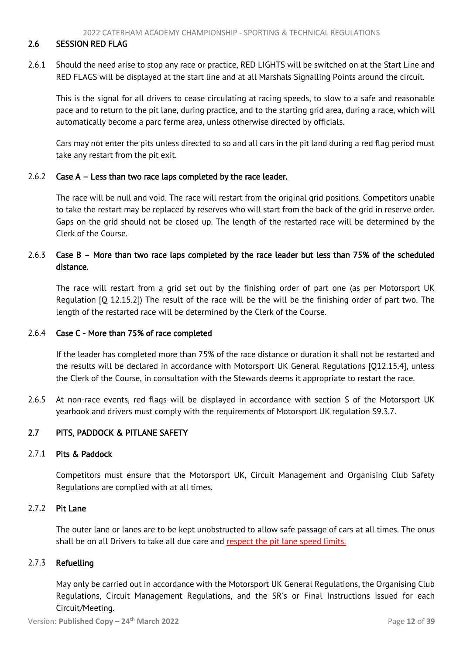#### <span id="page-12-2"></span><span id="page-12-0"></span>2.6 SESSION RED FLAG

2.6.1 Should the need arise to stop any race or practice, RED LIGHTS will be switched on at the Start Line and RED FLAGS will be displayed at the start line and at all Marshals Signalling Points around the circuit.

This is the signal for all drivers to cease circulating at racing speeds, to slow to a safe and reasonable pace and to return to the pit lane, during practice, and to the starting grid area, during a race, which will automatically become a parc ferme area, unless otherwise directed by officials.

Cars may not enter the pits unless directed to so and all cars in the pit land during a red flag period must take any restart from the pit exit.

# 2.6.2 Case A – Less than two race laps completed by the race leader.

The race will be null and void. The race will restart from the original grid positions. Competitors unable to take the restart may be replaced by reserves who will start from the back of the grid in reserve order. Gaps on the grid should not be closed up. The length of the restarted race will be determined by the Clerk of the Course.

# 2.6.3 Case B – More than two race laps completed by the race leader but less than 75% of the scheduled distance.

The race will restart from a grid set out by the finishing order of part one (as per Motorsport UK Regulation [Q 12.15.2]) The result of the race will be the will be the finishing order of part two. The length of the restarted race will be determined by the Clerk of the Course.

# 2.6.4 Case C - More than 75% of race completed

If the leader has completed more than 75% of the race distance or duration it shall not be restarted and the results will be declared in accordance with Motorsport UK General Regulations [Q12.15.4], unless the Clerk of the Course, in consultation with the Stewards deems it appropriate to restart the race.

2.6.5 At non-race events, red flags will be displayed in accordance with section S of the Motorsport UK yearbook and drivers must comply with the requirements of Motorsport UK regulation S9.3.7.

# <span id="page-12-1"></span>2.7 PITS, PADDOCK & PITLANE SAFETY

#### 2.7.1 Pits & Paddock

Competitors must ensure that the Motorsport UK, Circuit Management and Organising Club Safety Regulations are complied with at all times.

# 2.7.2 Pit Lane

The outer lane or lanes are to be kept unobstructed to allow safe passage of cars at all times. The onus shall be on all Drivers to take all due care and respect the pit lane speed limits.

# 2.7.3 Refuelling

May only be carried out in accordance with the Motorsport UK General Regulations, the Organising Club Regulations, Circuit Management Regulations, and the SR's or Final Instructions issued for each Circuit/Meeting.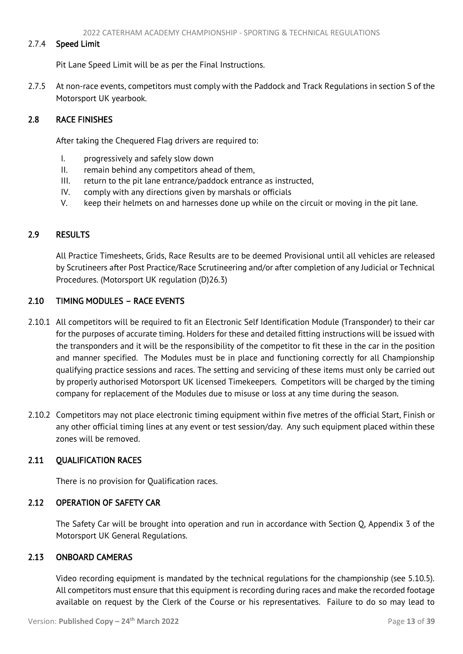# <span id="page-13-6"></span>2.7.4 Speed Limit

Pit Lane Speed Limit will be as per the Final Instructions.

2.7.5 At non-race events, competitors must comply with the Paddock and Track Regulations in section S of the Motorsport UK yearbook.

# <span id="page-13-0"></span>2.8 RACE FINISHES

After taking the Chequered Flag drivers are required to:

- I. progressively and safely slow down
- II. remain behind any competitors ahead of them,
- III. return to the pit lane entrance/paddock entrance as instructed,
- IV. comply with any directions given by marshals or officials
- <span id="page-13-1"></span>V. keep their helmets on and harnesses done up while on the circuit or moving in the pit lane.

# 2.9 RESULTS

All Practice Timesheets, Grids, Race Results are to be deemed Provisional until all vehicles are released by Scrutineers after Post Practice/Race Scrutineering and/or after completion of any Judicial or Technical Procedures. (Motorsport UK regulation (D)26.3)

# <span id="page-13-2"></span>2.10 TIMING MODULES – RACE EVENTS

- 2.10.1 All competitors will be required to fit an Electronic Self Identification Module (Transponder) to their car for the purposes of accurate timing. Holders for these and detailed fitting instructions will be issued with the transponders and it will be the responsibility of the competitor to fit these in the car in the position and manner specified. The Modules must be in place and functioning correctly for all Championship qualifying practice sessions and races. The setting and servicing of these items must only be carried out by properly authorised Motorsport UK licensed Timekeepers. Competitors will be charged by the timing company for replacement of the Modules due to misuse or loss at any time during the season.
- 2.10.2 Competitors may not place electronic timing equipment within five metres of the official Start, Finish or any other official timing lines at any event or test session/day. Any such equipment placed within these zones will be removed.

# 2.11 OUALIFICATION RACES

<span id="page-13-4"></span><span id="page-13-3"></span>There is no provision for Qualification races.

# 2.12 OPERATION OF SAFETY CAR

<span id="page-13-5"></span>The Safety Car will be brought into operation and run in accordance with Section Q, Appendix 3 of the Motorsport UK General Regulations.

# 2.13 ONBOARD CAMERAS

Video recording equipment is mandated by the technical regulations for the championship (see 5.10.5). All competitors must ensure that this equipment is recording during races and make the recorded footage available on request by the Clerk of the Course or his representatives. Failure to do so may lead to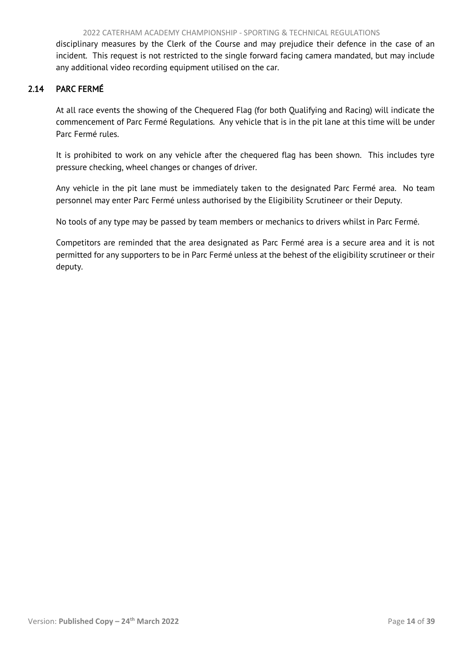<span id="page-14-1"></span>disciplinary measures by the Clerk of the Course and may prejudice their defence in the case of an incident. This request is not restricted to the single forward facing camera mandated, but may include any additional video recording equipment utilised on the car.

# <span id="page-14-0"></span>2.14 PARC FERMÉ

At all race events the showing of the Chequered Flag (for both Qualifying and Racing) will indicate the commencement of Parc Fermé Regulations. Any vehicle that is in the pit lane at this time will be under Parc Fermé rules.

It is prohibited to work on any vehicle after the chequered flag has been shown. This includes tyre pressure checking, wheel changes or changes of driver.

Any vehicle in the pit lane must be immediately taken to the designated Parc Fermé area. No team personnel may enter Parc Fermé unless authorised by the Eligibility Scrutineer or their Deputy.

No tools of any type may be passed by team members or mechanics to drivers whilst in Parc Fermé.

Competitors are reminded that the area designated as Parc Fermé area is a secure area and it is not permitted for any supporters to be in Parc Fermé unless at the behest of the eligibility scrutineer or their deputy.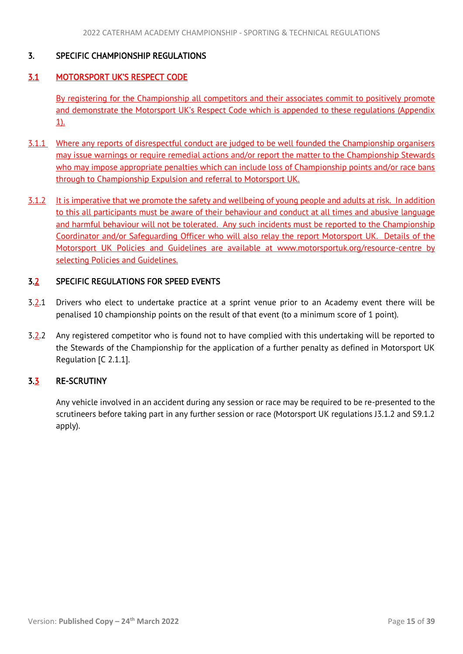# <span id="page-15-4"></span><span id="page-15-0"></span>3. SPECIFIC CHAMPIONSHIP REGULATIONS

# <span id="page-15-1"></span>3.1 MOTORSPORT UK'S RESPECT CODE

By registering for the Championship all competitors and their associates commit to positively promote and demonstrate the Motorsport UK's Respect Code which is appended to these regulations (Appendix 1).

- 3.1.1 Where any reports of disrespectful conduct are judged to be well founded the Championship organisers may issue warnings or require remedial actions and/or report the matter to the Championship Stewards who may impose appropriate penalties which can include loss of Championship points and/or race bans through to Championship Expulsion and referral to Motorsport UK.
- 3.1.2 It is imperative that we promote the safety and wellbeing of young people and adults at risk. In addition to this all participants must be aware of their behaviour and conduct at all times and abusive language and harmful behaviour will not be tolerated. Any such incidents must be reported to the Championship Coordinator and/or Safeguarding Officer who will also relay the report Motorsport UK. Details of the Motorsport UK Policies and Guidelines are available at www.motorsportuk.org/resource-centre by selecting Policies and Guidelines.

# <span id="page-15-2"></span>3.2 SPECIFIC REGULATIONS FOR SPEED EVENTS

- $3.2.1$  Drivers who elect to undertake practice at a sprint venue prior to an Academy event there will be penalised 10 championship points on the result of that event (to a minimum score of 1 point).
- 3.2.2 Any registered competitor who is found not to have complied with this undertaking will be reported to the Stewards of the Championship for the application of a further penalty as defined in Motorsport UK Regulation [C 2.1.1].

# 3.3 RE-SCRUTINY

<span id="page-15-3"></span>Any vehicle involved in an accident during any session or race may be required to be re-presented to the scrutineers before taking part in any further session or race (Motorsport UK regulations J3.1.2 and S9.1.2 apply).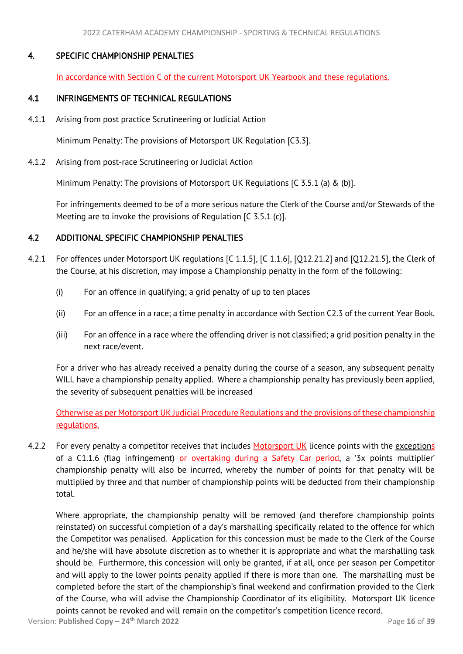# <span id="page-16-3"></span>4. SPECIFIC CHAMPIONSHIP PENALTIES

<span id="page-16-1"></span><span id="page-16-0"></span>In accordance with Section C of the current Motorsport UK Yearbook and these regulations.

# 4.1 INFRINGEMENTS OF TECHNICAL REGULATIONS

4.1.1 Arising from post practice Scrutineering or Judicial Action

Minimum Penalty: The provisions of Motorsport UK Regulation [C3.3].

4.1.2 Arising from post-race Scrutineering or Judicial Action

Minimum Penalty: The provisions of Motorsport UK Regulations [C 3.5.1 (a) & (b)].

For infringements deemed to be of a more serious nature the Clerk of the Course and/or Stewards of the Meeting are to invoke the provisions of Regulation [C 3.5.1 (c)].

# <span id="page-16-2"></span>4.2 ADDITIONAL SPECIFIC CHAMPIONSHIP PENALTIES

- 4.2.1 For offences under Motorsport UK regulations [C 1.1.5], [C 1.1.6], [Q12.21.2] and [Q12.21.5], the Clerk of the Course, at his discretion, may impose a Championship penalty in the form of the following:
	- (i) For an offence in qualifying; a grid penalty of up to ten places
	- (ii) For an offence in a race; a time penalty in accordance with Section C2.3 of the current Year Book.
	- (iii) For an offence in a race where the offending driver is not classified; a grid position penalty in the next race/event.

For a driver who has already received a penalty during the course of a season, any subsequent penalty WILL have a championship penalty applied. Where a championship penalty has previously been applied, the severity of subsequent penalties will be increased

Otherwise as per Motorsport UK Judicial Procedure Regulations and the provisions of these championship regulations.

4.2.2 For every penalty a competitor receives that includes Motorsport UK licence points with the exceptions of a C1.1.6 (flag infringement) or overtaking during a Safety Car period, a '3x points multiplier' championship penalty will also be incurred, whereby the number of points for that penalty will be multiplied by three and that number of championship points will be deducted from their championship total.

Where appropriate, the championship penalty will be removed (and therefore championship points reinstated) on successful completion of a day's marshalling specifically related to the offence for which the Competitor was penalised. Application for this concession must be made to the Clerk of the Course and he/she will have absolute discretion as to whether it is appropriate and what the marshalling task should be. Furthermore, this concession will only be granted, if at all, once per season per Competitor and will apply to the lower points penalty applied if there is more than one. The marshalling must be completed before the start of the championship's final weekend and confirmation provided to the Clerk of the Course, who will advise the Championship Coordinator of its eligibility. Motorsport UK licence points cannot be revoked and will remain on the competitor's competition licence record.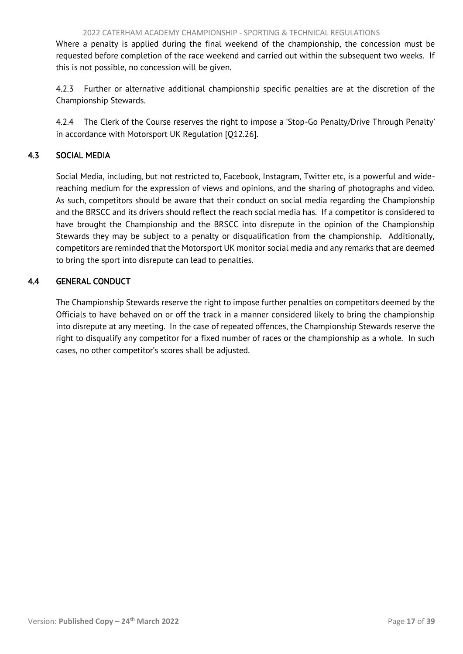<span id="page-17-2"></span>Where a penalty is applied during the final weekend of the championship, the concession must be requested before completion of the race weekend and carried out within the subsequent two weeks. If this is not possible, no concession will be given.

4.2.3 Further or alternative additional championship specific penalties are at the discretion of the Championship Stewards.

<span id="page-17-0"></span>4.2.4 The Clerk of the Course reserves the right to impose a 'Stop-Go Penalty/Drive Through Penalty' in accordance with Motorsport UK Regulation [Q12.26].

# 4.3 SOCIAL MEDIA

Social Media, including, but not restricted to, Facebook, Instagram, Twitter etc, is a powerful and widereaching medium for the expression of views and opinions, and the sharing of photographs and video. As such, competitors should be aware that their conduct on social media regarding the Championship and the BRSCC and its drivers should reflect the reach social media has. If a competitor is considered to have brought the Championship and the BRSCC into disrepute in the opinion of the Championship Stewards they may be subject to a penalty or disqualification from the championship. Additionally, competitors are reminded that the Motorsport UK monitor social media and any remarks that are deemed to bring the sport into disrepute can lead to penalties.

# <span id="page-17-1"></span>4.4 GENERAL CONDUCT

The Championship Stewards reserve the right to impose further penalties on competitors deemed by the Officials to have behaved on or off the track in a manner considered likely to bring the championship into disrepute at any meeting. In the case of repeated offences, the Championship Stewards reserve the right to disqualify any competitor for a fixed number of races or the championship as a whole. In such cases, no other competitor's scores shall be adjusted.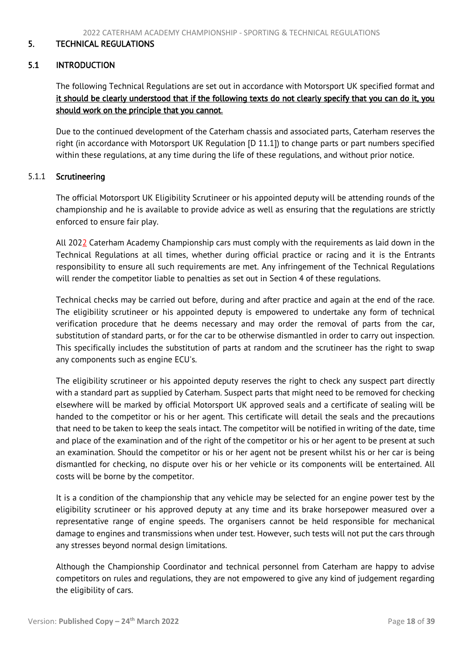## <span id="page-18-2"></span><span id="page-18-0"></span>5. TECHNICAL REGULATIONS

# <span id="page-18-1"></span>5.1 INTRODUCTION

The following Technical Regulations are set out in accordance with Motorsport UK specified format and it should be clearly understood that if the following texts do not clearly specify that you can do it, you should work on the principle that you cannot.

Due to the continued development of the Caterham chassis and associated parts, Caterham reserves the right (in accordance with Motorsport UK Regulation [D 11.1]) to change parts or part numbers specified within these regulations, at any time during the life of these regulations, and without prior notice.

#### 5.1.1 Scrutineering

The official Motorsport UK Eligibility Scrutineer or his appointed deputy will be attending rounds of the championship and he is available to provide advice as well as ensuring that the regulations are strictly enforced to ensure fair play.

All 2022 Caterham Academy Championship cars must comply with the requirements as laid down in the Technical Regulations at all times, whether during official practice or racing and it is the Entrants responsibility to ensure all such requirements are met. Any infringement of the Technical Regulations will render the competitor liable to penalties as set out in Section 4 of these regulations.

Technical checks may be carried out before, during and after practice and again at the end of the race. The eligibility scrutineer or his appointed deputy is empowered to undertake any form of technical verification procedure that he deems necessary and may order the removal of parts from the car, substitution of standard parts, or for the car to be otherwise dismantled in order to carry out inspection. This specifically includes the substitution of parts at random and the scrutineer has the right to swap any components such as engine ECU's.

The eligibility scrutineer or his appointed deputy reserves the right to check any suspect part directly with a standard part as supplied by Caterham. Suspect parts that might need to be removed for checking elsewhere will be marked by official Motorsport UK approved seals and a certificate of sealing will be handed to the competitor or his or her agent. This certificate will detail the seals and the precautions that need to be taken to keep the seals intact. The competitor will be notified in writing of the date, time and place of the examination and of the right of the competitor or his or her agent to be present at such an examination. Should the competitor or his or her agent not be present whilst his or her car is being dismantled for checking, no dispute over his or her vehicle or its components will be entertained. All costs will be borne by the competitor.

It is a condition of the championship that any vehicle may be selected for an engine power test by the eligibility scrutineer or his approved deputy at any time and its brake horsepower measured over a representative range of engine speeds. The organisers cannot be held responsible for mechanical damage to engines and transmissions when under test. However, such tests will not put the cars through any stresses beyond normal design limitations.

Although the Championship Coordinator and technical personnel from Caterham are happy to advise competitors on rules and regulations, they are not empowered to give any kind of judgement regarding the eligibility of cars.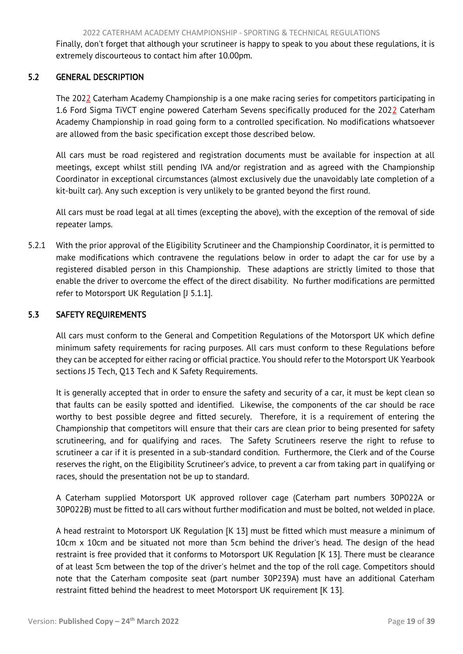<span id="page-19-2"></span><span id="page-19-0"></span>Finally, don't forget that although your scrutineer is happy to speak to you about these regulations, it is extremely discourteous to contact him after 10.00pm.

# 5.2 GENERAL DESCRIPTION

The 2022 Caterham Academy Championship is a one make racing series for competitors participating in 1.6 Ford Sigma TiVCT engine powered Caterham Sevens specifically produced for the 2022 Caterham Academy Championship in road going form to a controlled specification. No modifications whatsoever are allowed from the basic specification except those described below.

All cars must be road registered and registration documents must be available for inspection at all meetings, except whilst still pending IVA and/or registration and as agreed with the Championship Coordinator in exceptional circumstances (almost exclusively due the unavoidably late completion of a kit-built car). Any such exception is very unlikely to be granted beyond the first round.

All cars must be road legal at all times (excepting the above), with the exception of the removal of side repeater lamps.

5.2.1 With the prior approval of the Eligibility Scrutineer and the Championship Coordinator, it is permitted to make modifications which contravene the regulations below in order to adapt the car for use by a registered disabled person in this Championship. These adaptions are strictly limited to those that enable the driver to overcome the effect of the direct disability. No further modifications are permitted refer to Motorsport UK Regulation [J 5.1.1].

# <span id="page-19-1"></span>5.3 SAFETY REQUIREMENTS

All cars must conform to the General and Competition Regulations of the Motorsport UK which define minimum safety requirements for racing purposes. All cars must conform to these Regulations before they can be accepted for either racing or official practice. You should refer to the Motorsport UK Yearbook sections J5 Tech, Q13 Tech and K Safety Requirements.

It is generally accepted that in order to ensure the safety and security of a car, it must be kept clean so that faults can be easily spotted and identified. Likewise, the components of the car should be race worthy to best possible degree and fitted securely. Therefore, it is a requirement of entering the Championship that competitors will ensure that their cars are clean prior to being presented for safety scrutineering, and for qualifying and races. The Safety Scrutineers reserve the right to refuse to scrutineer a car if it is presented in a sub-standard condition. Furthermore, the Clerk and of the Course reserves the right, on the Eligibility Scrutineer's advice, to prevent a car from taking part in qualifying or races, should the presentation not be up to standard.

A Caterham supplied Motorsport UK approved rollover cage (Caterham part numbers 30P022A or 30P022B) must be fitted to all cars without further modification and must be bolted, not welded in place.

A head restraint to Motorsport UK Regulation [K 13] must be fitted which must measure a minimum of 10cm x 10cm and be situated not more than 5cm behind the driver's head. The design of the head restraint is free provided that it conforms to Motorsport UK Regulation [K 13]. There must be clearance of at least 5cm between the top of the driver's helmet and the top of the roll cage. Competitors should note that the Caterham composite seat (part number 30P239A) must have an additional Caterham restraint fitted behind the headrest to meet Motorsport UK requirement [K 13].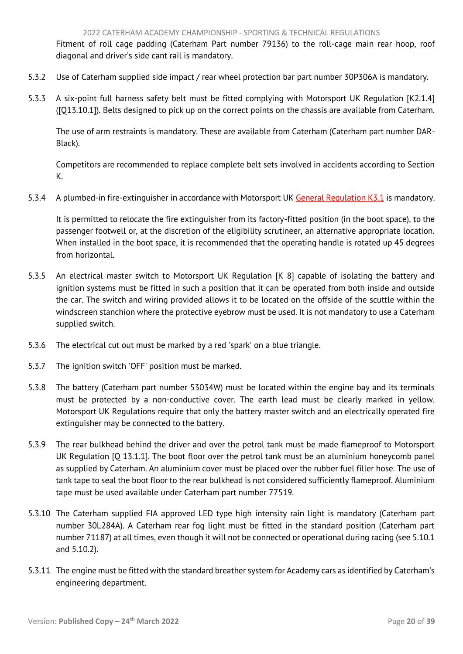Fitment of roll cage padding (Caterham Part number 79136) to the roll-cage main rear hoop, roof diagonal and driver's side cant rail is mandatory.

- 5.3.2 Use of Caterham supplied side impact / rear wheel protection bar part number 30P306A is mandatory.
- 5.3.3 A six-point full harness safety belt must be fitted complying with Motorsport UK Regulation [K2.1.4] ([Q13.10.1]). Belts designed to pick up on the correct points on the chassis are available from Caterham.

The use of arm restraints is mandatory. These are available from Caterham (Caterham part number DAR-Black).

Competitors are recommended to replace complete belt sets involved in accidents according to Section K.

5.3.4 A plumbed-in fire-extinguisher in accordance with Motorsport UK General Regulation K3.1 is mandatory.

It is permitted to relocate the fire extinguisher from its factory-fitted position (in the boot space), to the passenger footwell or, at the discretion of the eligibility scrutineer, an alternative appropriate location. When installed in the boot space, it is recommended that the operating handle is rotated up 45 degrees from horizontal.

- 5.3.5 An electrical master switch to Motorsport UK Regulation [K 8] capable of isolating the battery and ignition systems must be fitted in such a position that it can be operated from both inside and outside the car. The switch and wiring provided allows it to be located on the offside of the scuttle within the windscreen stanchion where the protective eyebrow must be used. It is not mandatory to use a Caterham supplied switch.
- 5.3.6 The electrical cut out must be marked by a red 'spark' on a blue triangle.
- 5.3.7 The ignition switch 'OFF' position must be marked.
- 5.3.8 The battery (Caterham part number 53034W) must be located within the engine bay and its terminals must be protected by a non-conductive cover. The earth lead must be clearly marked in yellow. Motorsport UK Regulations require that only the battery master switch and an electrically operated fire extinguisher may be connected to the battery.
- 5.3.9 The rear bulkhead behind the driver and over the petrol tank must be made flameproof to Motorsport UK Regulation [Q 13.1.1]. The boot floor over the petrol tank must be an aluminium honeycomb panel as supplied by Caterham. An aluminium cover must be placed over the rubber fuel filler hose. The use of tank tape to seal the boot floor to the rear bulkhead is not considered sufficiently flameproof. Aluminium tape must be used available under Caterham part number 77519.
- 5.3.10 The Caterham supplied FIA approved LED type high intensity rain light is mandatory (Caterham part number 30L284A). A Caterham rear fog light must be fitted in the standard position (Caterham part number 71187) at all times, even though it will not be connected or operational during racing (see 5.10.1 and 5.10.2).
- 5.3.11 The engine must be fitted with the standard breather system for Academy cars as identified by Caterham's engineering department.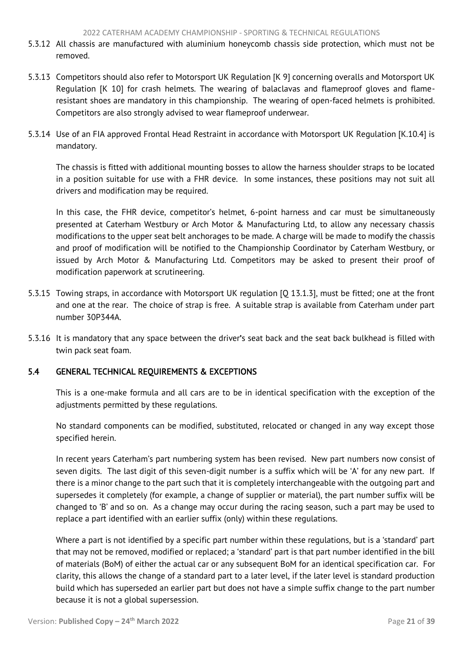- <span id="page-21-1"></span>5.3.12 All chassis are manufactured with aluminium honeycomb chassis side protection, which must not be removed.
- 5.3.13 Competitors should also refer to Motorsport UK Regulation [K 9] concerning overalls and Motorsport UK Regulation [K 10] for crash helmets. The wearing of balaclavas and flameproof gloves and flameresistant shoes are mandatory in this championship. The wearing of open-faced helmets is prohibited. Competitors are also strongly advised to wear flameproof underwear.
- 5.3.14 Use of an FIA approved Frontal Head Restraint in accordance with Motorsport UK Regulation [K.10.4] is mandatory.

The chassis is fitted with additional mounting bosses to allow the harness shoulder straps to be located in a position suitable for use with a FHR device. In some instances, these positions may not suit all drivers and modification may be required.

In this case, the FHR device, competitor's helmet, 6-point harness and car must be simultaneously presented at Caterham Westbury or Arch Motor & Manufacturing Ltd, to allow any necessary chassis modifications to the upper seat belt anchorages to be made. A charge will be made to modify the chassis and proof of modification will be notified to the Championship Coordinator by Caterham Westbury, or issued by Arch Motor & Manufacturing Ltd. Competitors may be asked to present their proof of modification paperwork at scrutineering.

- 5.3.15 Towing straps, in accordance with Motorsport UK regulation [Q 13.1.3], must be fitted; one at the front and one at the rear. The choice of strap is free. A suitable strap is available from Caterham under part number 30P344A.
- 5.3.16 It is mandatory that any space between the driver's seat back and the seat back bulkhead is filled with twin pack seat foam.

# <span id="page-21-0"></span>5.4 GENERAL TECHNICAL REQUIREMENTS & EXCEPTIONS

This is a one-make formula and all cars are to be in identical specification with the exception of the adjustments permitted by these regulations.

No standard components can be modified, substituted, relocated or changed in any way except those specified herein.

In recent years Caterham's part numbering system has been revised. New part numbers now consist of seven digits. The last digit of this seven-digit number is a suffix which will be 'A' for any new part. If there is a minor change to the part such that it is completely interchangeable with the outgoing part and supersedes it completely (for example, a change of supplier or material), the part number suffix will be changed to 'B' and so on. As a change may occur during the racing season, such a part may be used to replace a part identified with an earlier suffix (only) within these regulations.

Where a part is not identified by a specific part number within these regulations, but is a 'standard' part that may not be removed, modified or replaced; a 'standard' part is that part number identified in the bill of materials (BoM) of either the actual car or any subsequent BoM for an identical specification car. For clarity, this allows the change of a standard part to a later level, if the later level is standard production build which has superseded an earlier part but does not have a simple suffix change to the part number because it is not a global supersession.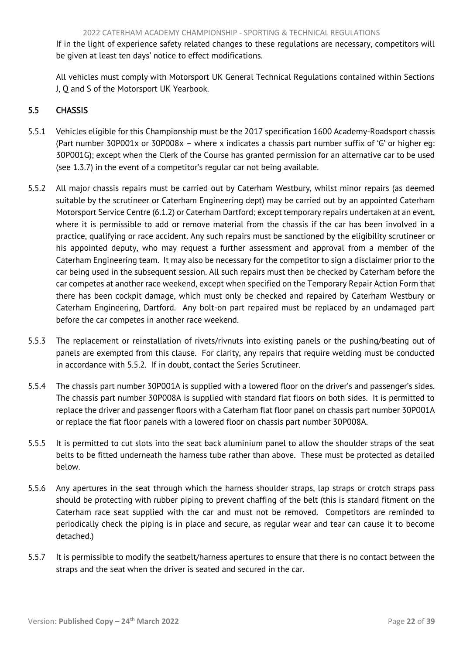<span id="page-22-1"></span>If in the light of experience safety related changes to these regulations are necessary, competitors will be given at least ten days' notice to effect modifications.

<span id="page-22-0"></span>All vehicles must comply with Motorsport UK General Technical Regulations contained within Sections J, Q and S of the Motorsport UK Yearbook.

# 5.5 CHASSIS

- 5.5.1 Vehicles eligible for this Championship must be the 2017 specification 1600 Academy-Roadsport chassis (Part number 30P001x or 30P008x – where x indicates a chassis part number suffix of 'G' or higher eg: 30P001G); except when the Clerk of the Course has granted permission for an alternative car to be used (see 1.3.7) in the event of a competitor's regular car not being available.
- 5.5.2 All major chassis repairs must be carried out by Caterham Westbury, whilst minor repairs (as deemed suitable by the scrutineer or Caterham Engineering dept) may be carried out by an appointed Caterham Motorsport Service Centre (6.1.2) or Caterham Dartford; except temporary repairs undertaken at an event, where it is permissible to add or remove material from the chassis if the car has been involved in a practice, qualifying or race accident. Any such repairs must be sanctioned by the eligibility scrutineer or his appointed deputy, who may request a further assessment and approval from a member of the Caterham Engineering team. It may also be necessary for the competitor to sign a disclaimer prior to the car being used in the subsequent session. All such repairs must then be checked by Caterham before the car competes at another race weekend, except when specified on the Temporary Repair Action Form that there has been cockpit damage, which must only be checked and repaired by Caterham Westbury or Caterham Engineering, Dartford. Any bolt-on part repaired must be replaced by an undamaged part before the car competes in another race weekend.
- 5.5.3 The replacement or reinstallation of rivets/rivnuts into existing panels or the pushing/beating out of panels are exempted from this clause. For clarity, any repairs that require welding must be conducted in accordance with 5.5.2. If in doubt, contact the Series Scrutineer.
- 5.5.4 The chassis part number 30P001A is supplied with a lowered floor on the driver's and passenger's sides. The chassis part number 30P008A is supplied with standard flat floors on both sides. It is permitted to replace the driver and passenger floors with a Caterham flat floor panel on chassis part number 30P001A or replace the flat floor panels with a lowered floor on chassis part number 30P008A.
- 5.5.5 It is permitted to cut slots into the seat back aluminium panel to allow the shoulder straps of the seat belts to be fitted underneath the harness tube rather than above. These must be protected as detailed below.
- 5.5.6 Any apertures in the seat through which the harness shoulder straps, lap straps or crotch straps pass should be protecting with rubber piping to prevent chaffing of the belt (this is standard fitment on the Caterham race seat supplied with the car and must not be removed. Competitors are reminded to periodically check the piping is in place and secure, as regular wear and tear can cause it to become detached.)
- 5.5.7 It is permissible to modify the seatbelt/harness apertures to ensure that there is no contact between the straps and the seat when the driver is seated and secured in the car.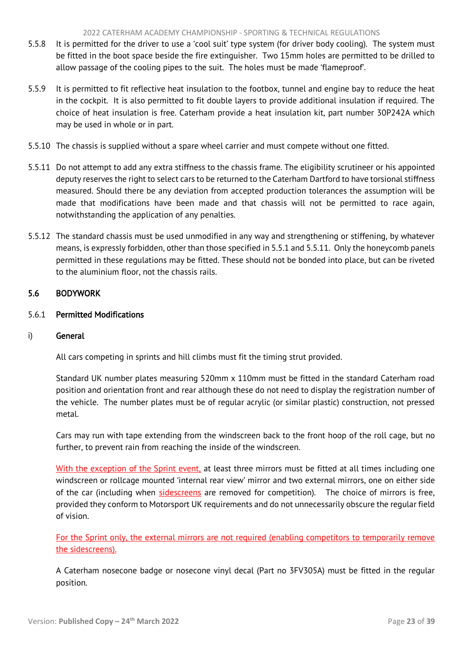#### 2022 CATERHAM ACADEMY CHAMPIONSHIP - SPORTING & TECHNICAL REGULATIONS

- <span id="page-23-1"></span>5.5.8 It is permitted for the driver to use a 'cool suit' type system (for driver body cooling). The system must be fitted in the boot space beside the fire extinguisher. Two 15mm holes are permitted to be drilled to allow passage of the cooling pipes to the suit. The holes must be made 'flameproof'.
- 5.5.9 It is permitted to fit reflective heat insulation to the footbox, tunnel and engine bay to reduce the heat in the cockpit. It is also permitted to fit double layers to provide additional insulation if required. The choice of heat insulation is free. Caterham provide a heat insulation kit, part number 30P242A which may be used in whole or in part.
- 5.5.10 The chassis is supplied without a spare wheel carrier and must compete without one fitted.
- 5.5.11 Do not attempt to add any extra stiffness to the chassis frame. The eligibility scrutineer or his appointed deputy reserves the right to select cars to be returned to the Caterham Dartford to have torsional stiffness measured. Should there be any deviation from accepted production tolerances the assumption will be made that modifications have been made and that chassis will not be permitted to race again, notwithstanding the application of any penalties.
- 5.5.12 The standard chassis must be used unmodified in any way and strengthening or stiffening, by whatever means, is expressly forbidden, other than those specified in 5.5.1 and 5.5.11. Only the honeycomb panels permitted in these regulations may be fitted. These should not be bonded into place, but can be riveted to the aluminium floor, not the chassis rails.

# <span id="page-23-0"></span>5.6 BODYWORK

# 5.6.1 Permitted Modifications

# i) General

All cars competing in sprints and hill climbs must fit the timing strut provided.

Standard UK number plates measuring 520mm x 110mm must be fitted in the standard Caterham road position and orientation front and rear although these do not need to display the registration number of the vehicle. The number plates must be of regular acrylic (or similar plastic) construction, not pressed metal.

Cars may run with tape extending from the windscreen back to the front hoop of the roll cage, but no further, to prevent rain from reaching the inside of the windscreen.

With the exception of the Sprint event, at least three mirrors must be fitted at all times including one windscreen or rollcage mounted 'internal rear view' mirror and two external mirrors, one on either side of the car (including when sidescreens are removed for competition). The choice of mirrors is free, provided they conform to Motorsport UK requirements and do not unnecessarily obscure the regular field of vision.

For the Sprint only, the external mirrors are not required (enabling competitors to temporarily remove the sidescreens).

A Caterham nosecone badge or nosecone vinyl decal (Part no 3FV305A) must be fitted in the regular position.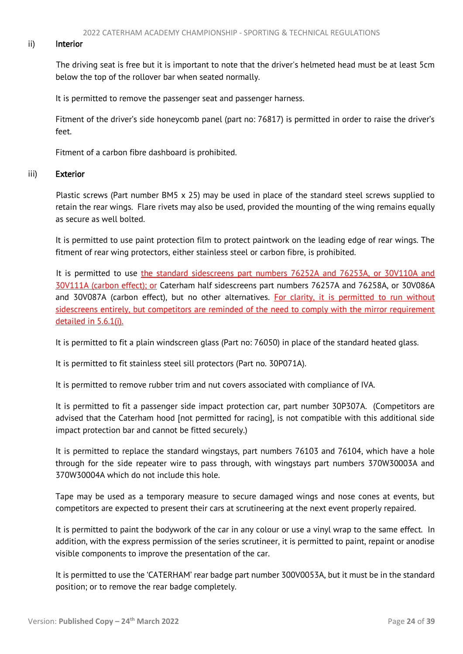#### ii) Interior

 The driving seat is free but it is important to note that the driver's helmeted head must be at least 5cm below the top of the rollover bar when seated normally.

It is permitted to remove the passenger seat and passenger harness.

Fitment of the driver's side honeycomb panel (part no: 76817) is permitted in order to raise the driver's feet.

Fitment of a carbon fibre dashboard is prohibited.

#### iii) Exterior

 Plastic screws (Part number BM5 x 25) may be used in place of the standard steel screws supplied to retain the rear wings. Flare rivets may also be used, provided the mounting of the wing remains equally as secure as well bolted.

It is permitted to use paint protection film to protect paintwork on the leading edge of rear wings. The fitment of rear wing protectors, either stainless steel or carbon fibre, is prohibited.

It is permitted to use *the standard sidescreens part numbers 76252A and 76253A, or 30V110A and* 30V111A (carbon effect); or Caterham half sidescreens part numbers 76257A and 76258A, or 30V086A and 30V087A (carbon effect), but no other alternatives. For clarity, it is permitted to run without sidescreens entirely, but competitors are reminded of the need to comply with the mirror requirement detailed in 5.6.1(i).

It is permitted to fit a plain windscreen glass (Part no: 76050) in place of the standard heated glass.

It is permitted to fit stainless steel sill protectors (Part no. 30P071A).

It is permitted to remove rubber trim and nut covers associated with compliance of IVA.

It is permitted to fit a passenger side impact protection car, part number 30P307A. (Competitors are advised that the Caterham hood [not permitted for racing], is not compatible with this additional side impact protection bar and cannot be fitted securely.)

It is permitted to replace the standard wingstays, part numbers 76103 and 76104, which have a hole through for the side repeater wire to pass through, with wingstays part numbers 370W30003A and 370W30004A which do not include this hole.

Tape may be used as a temporary measure to secure damaged wings and nose cones at events, but competitors are expected to present their cars at scrutineering at the next event properly repaired.

It is permitted to paint the bodywork of the car in any colour or use a vinyl wrap to the same effect. In addition, with the express permission of the series scrutineer, it is permitted to paint, repaint or anodise visible components to improve the presentation of the car.

It is permitted to use the 'CATERHAM' rear badge part number 300V0053A, but it must be in the standard position; or to remove the rear badge completely.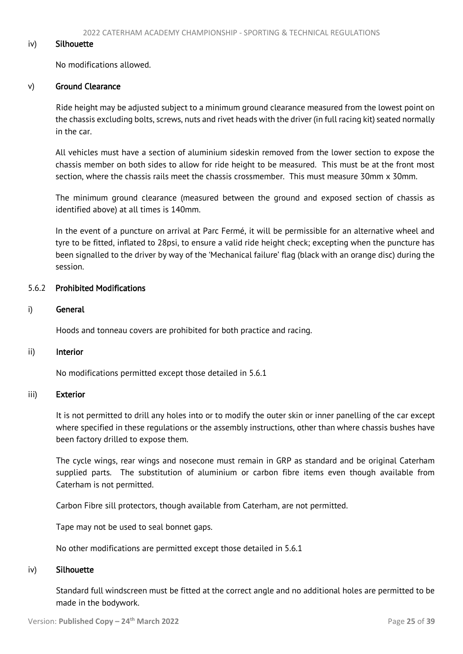#### iv) Silhouette

No modifications allowed.

#### v) Ground Clearance

 Ride height may be adjusted subject to a minimum ground clearance measured from the lowest point on the chassis excluding bolts, screws, nuts and rivet heads with the driver (in full racing kit) seated normally in the car.

All vehicles must have a section of aluminium sideskin removed from the lower section to expose the chassis member on both sides to allow for ride height to be measured. This must be at the front most section, where the chassis rails meet the chassis crossmember. This must measure 30mm x 30mm.

The minimum ground clearance (measured between the ground and exposed section of chassis as identified above) at all times is 140mm.

In the event of a puncture on arrival at Parc Fermé, it will be permissible for an alternative wheel and tyre to be fitted, inflated to 28psi, to ensure a valid ride height check; excepting when the puncture has been signalled to the driver by way of the 'Mechanical failure' flag (black with an orange disc) during the session.

## 5.6.2 Prohibited Modifications

#### i) General

Hoods and tonneau covers are prohibited for both practice and racing.

#### ii) Interior

No modifications permitted except those detailed in 5.6.1

#### iii) Exterior

It is not permitted to drill any holes into or to modify the outer skin or inner panelling of the car except where specified in these regulations or the assembly instructions, other than where chassis bushes have been factory drilled to expose them.

The cycle wings, rear wings and nosecone must remain in GRP as standard and be original Caterham supplied parts. The substitution of aluminium or carbon fibre items even though available from Caterham is not permitted.

Carbon Fibre sill protectors, though available from Caterham, are not permitted.

Tape may not be used to seal bonnet gaps.

No other modifications are permitted except those detailed in 5.6.1

#### iv) Silhouette

Standard full windscreen must be fitted at the correct angle and no additional holes are permitted to be made in the bodywork.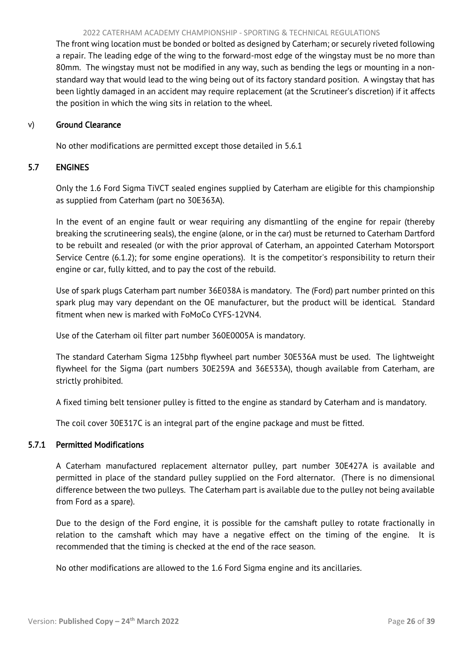#### <span id="page-26-0"></span>2022 CATERHAM ACADEMY CHAMPIONSHIP - SPORTING & TECHNICAL REGULATIONS

<span id="page-26-1"></span>The front wing location must be bonded or bolted as designed by Caterham; or securely riveted following a repair. The leading edge of the wing to the forward-most edge of the wingstay must be no more than 80mm. The wingstay must not be modified in any way, such as bending the legs or mounting in a nonstandard way that would lead to the wing being out of its factory standard position. A wingstay that has been lightly damaged in an accident may require replacement (at the Scrutineer's discretion) if it affects the position in which the wing sits in relation to the wheel.

#### v) Ground Clearance

No other modifications are permitted except those detailed in 5.6.1

# 5.7 ENGINES

Only the 1.6 Ford Sigma TiVCT sealed engines supplied by Caterham are eligible for this championship as supplied from Caterham (part no 30E363A).

In the event of an engine fault or wear requiring any dismantling of the engine for repair (thereby breaking the scrutineering seals), the engine (alone, or in the car) must be returned to Caterham Dartford to be rebuilt and resealed (or with the prior approval of Caterham, an appointed Caterham Motorsport Service Centre (6.1.2); for some engine operations). It is the competitor's responsibility to return their engine or car, fully kitted, and to pay the cost of the rebuild.

Use of spark plugs Caterham part number 36E038A is mandatory. The (Ford) part number printed on this spark plug may vary dependant on the OE manufacturer, but the product will be identical. Standard fitment when new is marked with FoMoCo CYFS-12VN4.

Use of the Caterham oil filter part number 360E0005A is mandatory.

The standard Caterham Sigma 125bhp flywheel part number 30E536A must be used. The lightweight flywheel for the Sigma (part numbers 30E259A and 36E533A), though available from Caterham, are strictly prohibited.

A fixed timing belt tensioner pulley is fitted to the engine as standard by Caterham and is mandatory.

The coil cover 30E317C is an integral part of the engine package and must be fitted.

# 5.7.1 Permitted Modifications

A Caterham manufactured replacement alternator pulley, part number 30E427A is available and permitted in place of the standard pulley supplied on the Ford alternator. (There is no dimensional difference between the two pulleys. The Caterham part is available due to the pulley not being available from Ford as a spare).

Due to the design of the Ford engine, it is possible for the camshaft pulley to rotate fractionally in relation to the camshaft which may have a negative effect on the timing of the engine. It is recommended that the timing is checked at the end of the race season.

No other modifications are allowed to the 1.6 Ford Sigma engine and its ancillaries.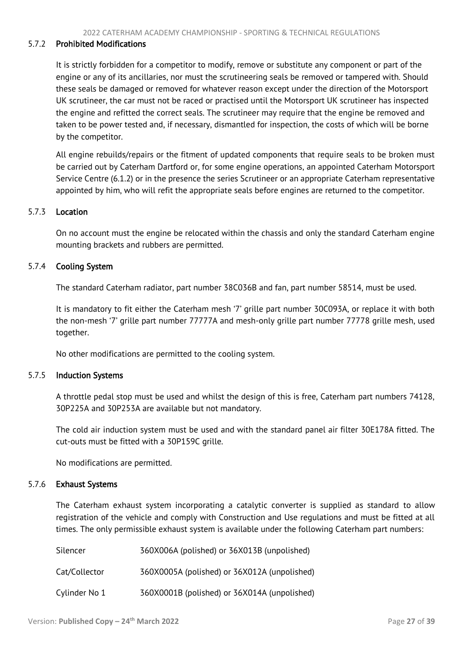#### 5.7.2 Prohibited Modifications

It is strictly forbidden for a competitor to modify, remove or substitute any component or part of the engine or any of its ancillaries, nor must the scrutineering seals be removed or tampered with. Should these seals be damaged or removed for whatever reason except under the direction of the Motorsport UK scrutineer, the car must not be raced or practised until the Motorsport UK scrutineer has inspected the engine and refitted the correct seals. The scrutineer may require that the engine be removed and taken to be power tested and, if necessary, dismantled for inspection, the costs of which will be borne by the competitor.

All engine rebuilds/repairs or the fitment of updated components that require seals to be broken must be carried out by Caterham Dartford or, for some engine operations, an appointed Caterham Motorsport Service Centre (6.1.2) or in the presence the series Scrutineer or an appropriate Caterham representative appointed by him, who will refit the appropriate seals before engines are returned to the competitor.

#### 5.7.3 Location

On no account must the engine be relocated within the chassis and only the standard Caterham engine mounting brackets and rubbers are permitted.

#### 5.7.4 Cooling System

The standard Caterham radiator, part number 38C036B and fan, part number 58514, must be used.

It is mandatory to fit either the Caterham mesh '7' grille part number 30C093A, or replace it with both the non-mesh '7' grille part number 77777A and mesh-only grille part number 77778 grille mesh, used together.

No other modifications are permitted to the cooling system.

#### 5.7.5 Induction Systems

A throttle pedal stop must be used and whilst the design of this is free, Caterham part numbers 74128, 30P225A and 30P253A are available but not mandatory.

The cold air induction system must be used and with the standard panel air filter 30E178A fitted. The cut-outs must be fitted with a 30P159C grille.

No modifications are permitted.

#### 5.7.6 Exhaust Systems

The Caterham exhaust system incorporating a catalytic converter is supplied as standard to allow registration of the vehicle and comply with Construction and Use regulations and must be fitted at all times. The only permissible exhaust system is available under the following Caterham part numbers:

| Silencer      | 360X006A (polished) or 36X013B (unpolished)  |
|---------------|----------------------------------------------|
| Cat/Collector | 360X0005A (polished) or 36X012A (unpolished) |
| Cylinder No 1 | 360X0001B (polished) or 36X014A (unpolished) |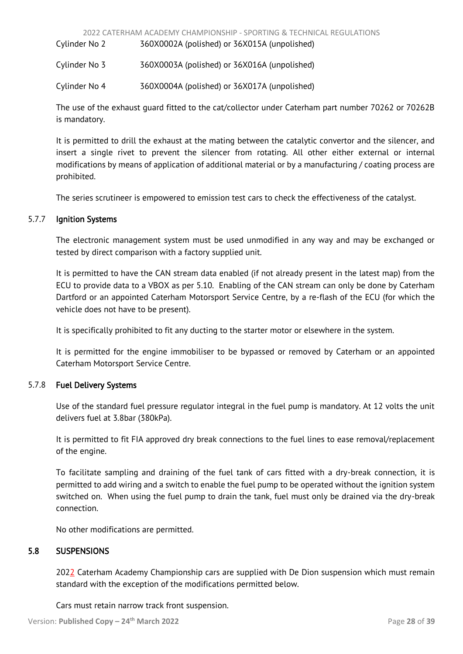<span id="page-28-1"></span>Cylinder No 2 360X0002A (polished) or 36X015A (unpolished)

Cylinder No 3 360X0003A (polished) or 36X016A (unpolished)

Cylinder No 4 360X0004A (polished) or 36X017A (unpolished)

The use of the exhaust guard fitted to the cat/collector under Caterham part number 70262 or 70262B is mandatory.

It is permitted to drill the exhaust at the mating between the catalytic convertor and the silencer, and insert a single rivet to prevent the silencer from rotating. All other either external or internal modifications by means of application of additional material or by a manufacturing / coating process are prohibited.

The series scrutineer is empowered to emission test cars to check the effectiveness of the catalyst.

# 5.7.7 Ignition Systems

 The electronic management system must be used unmodified in any way and may be exchanged or tested by direct comparison with a factory supplied unit.

 It is permitted to have the CAN stream data enabled (if not already present in the latest map) from the ECU to provide data to a VBOX as per 5.10. Enabling of the CAN stream can only be done by Caterham Dartford or an appointed Caterham Motorsport Service Centre, by a re-flash of the ECU (for which the vehicle does not have to be present).

It is specifically prohibited to fit any ducting to the starter motor or elsewhere in the system.

 It is permitted for the engine immobiliser to be bypassed or removed by Caterham or an appointed Caterham Motorsport Service Centre.

# 5.7.8 Fuel Delivery Systems

 Use of the standard fuel pressure regulator integral in the fuel pump is mandatory. At 12 volts the unit delivers fuel at 3.8bar (380kPa).

It is permitted to fit FIA approved dry break connections to the fuel lines to ease removal/replacement of the engine.

 To facilitate sampling and draining of the fuel tank of cars fitted with a dry-break connection, it is permitted to add wiring and a switch to enable the fuel pump to be operated without the ignition system switched on. When using the fuel pump to drain the tank, fuel must only be drained via the dry-break connection.

<span id="page-28-0"></span>No other modifications are permitted.

# 5.8 SUSPENSIONS

2022 Caterham Academy Championship cars are supplied with De Dion suspension which must remain standard with the exception of the modifications permitted below.

Cars must retain narrow track front suspension.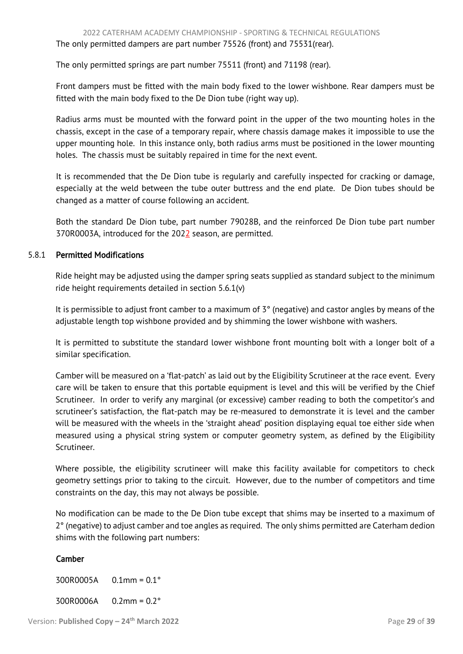The only permitted springs are part number 75511 (front) and 71198 (rear).

Front dampers must be fitted with the main body fixed to the lower wishbone. Rear dampers must be fitted with the main body fixed to the De Dion tube (right way up).

 Radius arms must be mounted with the forward point in the upper of the two mounting holes in the chassis, except in the case of a temporary repair, where chassis damage makes it impossible to use the upper mounting hole. In this instance only, both radius arms must be positioned in the lower mounting holes. The chassis must be suitably repaired in time for the next event.

 It is recommended that the De Dion tube is regularly and carefully inspected for cracking or damage, especially at the weld between the tube outer buttress and the end plate. De Dion tubes should be changed as a matter of course following an accident.

 Both the standard De Dion tube, part number 79028B, and the reinforced De Dion tube part number 370R0003A, introduced for the 2022 season, are permitted.

# 5.8.1 Permitted Modifications

 Ride height may be adjusted using the damper spring seats supplied as standard subject to the minimum ride height requirements detailed in section 5.6.1(v)

 It is permissible to adjust front camber to a maximum of 3° (negative) and castor angles by means of the adjustable length top wishbone provided and by shimming the lower wishbone with washers.

 It is permitted to substitute the standard lower wishbone front mounting bolt with a longer bolt of a similar specification.

Camber will be measured on a 'flat-patch' as laid out by the Eligibility Scrutineer at the race event. Every care will be taken to ensure that this portable equipment is level and this will be verified by the Chief Scrutineer. In order to verify any marginal (or excessive) camber reading to both the competitor's and scrutineer's satisfaction, the flat-patch may be re-measured to demonstrate it is level and the camber will be measured with the wheels in the 'straight ahead' position displaying equal toe either side when measured using a physical string system or computer geometry system, as defined by the Eligibility Scrutineer.

Where possible, the eligibility scrutineer will make this facility available for competitors to check geometry settings prior to taking to the circuit. However, due to the number of competitors and time constraints on the day, this may not always be possible.

No modification can be made to the De Dion tube except that shims may be inserted to a maximum of 2° (negative) to adjust camber and toe angles as required. The only shims permitted are Caterham dedion shims with the following part numbers:

# Camber

 300R0005A 0.1mm = 0.1° 300R0006A 0.2mm = 0.2°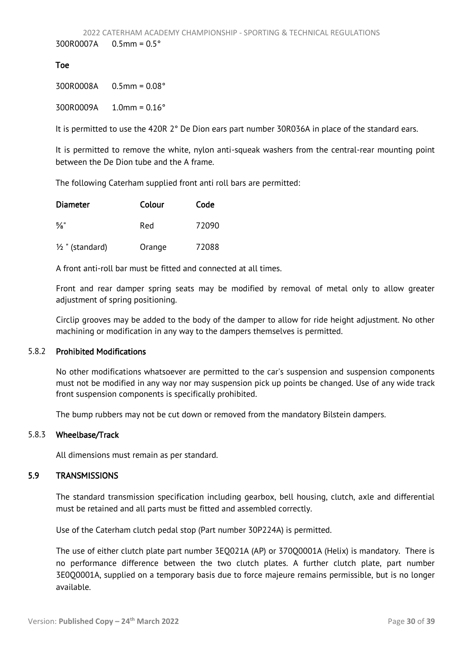## <span id="page-30-1"></span>Toe

300R0008A 0.5mm = 0.08°

300R0009A 1.0mm = 0.16°

It is permitted to use the 420R 2° De Dion ears part number 30R036A in place of the standard ears.

 It is permitted to remove the white, nylon anti-squeak washers from the central-rear mounting point between the De Dion tube and the A frame.

The following Caterham supplied front anti roll bars are permitted:

| Diameter                   | Colour | Code  |
|----------------------------|--------|-------|
| %"                         | Red    | 72090 |
| $\frac{1}{2}$ " (standard) | Orange | 72088 |

A front anti-roll bar must be fitted and connected at all times.

Front and rear damper spring seats may be modified by removal of metal only to allow greater adjustment of spring positioning.

Circlip grooves may be added to the body of the damper to allow for ride height adjustment. No other machining or modification in any way to the dampers themselves is permitted.

#### 5.8.2 Prohibited Modifications

 No other modifications whatsoever are permitted to the car's suspension and suspension components must not be modified in any way nor may suspension pick up points be changed. Use of any wide track front suspension components is specifically prohibited.

The bump rubbers may not be cut down or removed from the mandatory Bilstein dampers.

#### 5.8.3 Wheelbase/Track

<span id="page-30-0"></span>All dimensions must remain as per standard.

# 5.9 TRANSMISSIONS

The standard transmission specification including gearbox, bell housing, clutch, axle and differential must be retained and all parts must be fitted and assembled correctly.

Use of the Caterham clutch pedal stop (Part number 30P224A) is permitted.

 The use of either clutch plate part number 3EQ021A (AP) or 370Q0001A (Helix) is mandatory. There is no performance difference between the two clutch plates. A further clutch plate, part number 3E0Q0001A, supplied on a temporary basis due to force majeure remains permissible, but is no longer available.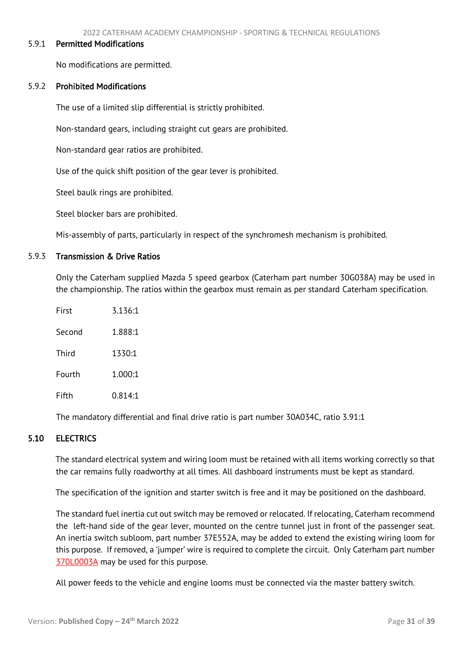#### <span id="page-31-1"></span>5.9.1 Permitted Modifications

No modifications are permitted.

#### 5.9.2 Prohibited Modifications

The use of a limited slip differential is strictly prohibited.

Non-standard gears, including straight cut gears are prohibited.

Non-standard gear ratios are prohibited.

Use of the quick shift position of the gear lever is prohibited.

Steel baulk rings are prohibited.

Steel blocker bars are prohibited.

Mis-assembly of parts, particularly in respect of the synchromesh mechanism is prohibited.

### 5.9.3 Transmission & Drive Ratios

Only the Caterham supplied Mazda 5 speed gearbox (Caterham part number 30G038A) may be used in the championship. The ratios within the gearbox must remain as per standard Caterham specification.

| First  | 3.136:1 |
|--------|---------|
| Second | 1.888:1 |
| Third  | 1330:1  |
| Fourth | 1.000:1 |
| Fifth  | 0.814:1 |

<span id="page-31-0"></span>The mandatory differential and final drive ratio is part number 30A034C, ratio 3.91:1

# 5.10 ELECTRICS

 The standard electrical system and wiring loom must be retained with all items working correctly so that the car remains fully roadworthy at all times. All dashboard instruments must be kept as standard.

The specification of the ignition and starter switch is free and it may be positioned on the dashboard.

The standard fuel inertia cut out switch may be removed or relocated. If relocating, Caterham recommend the left-hand side of the gear lever, mounted on the centre tunnel just in front of the passenger seat. An inertia switch subloom, part number 37E552A, may be added to extend the existing wiring loom for this purpose. If removed, a 'jumper' wire is required to complete the circuit. Only Caterham part number 370L0003A may be used for this purpose.

All power feeds to the vehicle and engine looms must be connected via the master battery switch.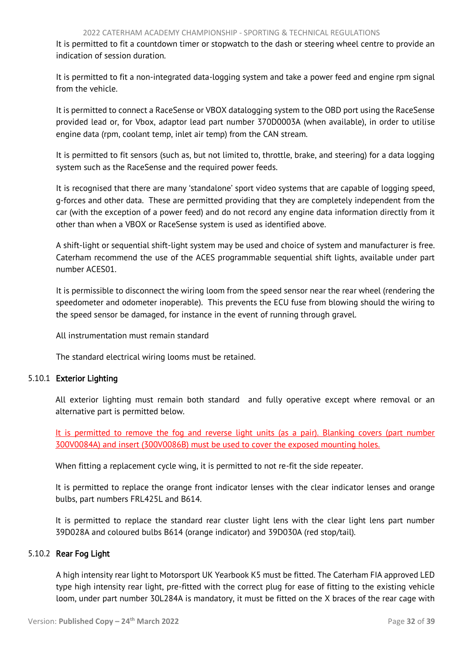It is permitted to fit a countdown timer or stopwatch to the dash or steering wheel centre to provide an indication of session duration.

It is permitted to fit a non-integrated data-logging system and take a power feed and engine rpm signal from the vehicle.

It is permitted to connect a RaceSense or VBOX datalogging system to the OBD port using the RaceSense provided lead or, for Vbox, adaptor lead part number 370D0003A (when available), in order to utilise engine data (rpm, coolant temp, inlet air temp) from the CAN stream.

It is permitted to fit sensors (such as, but not limited to, throttle, brake, and steering) for a data logging system such as the RaceSense and the required power feeds.

 It is recognised that there are many 'standalone' sport video systems that are capable of logging speed, g-forces and other data. These are permitted providing that they are completely independent from the car (with the exception of a power feed) and do not record any engine data information directly from it other than when a VBOX or RaceSense system is used as identified above.

 A shift-light or sequential shift-light system may be used and choice of system and manufacturer is free. Caterham recommend the use of the ACES programmable sequential shift lights, available under part number ACES01.

 It is permissible to disconnect the wiring loom from the speed sensor near the rear wheel (rendering the speedometer and odometer inoperable). This prevents the ECU fuse from blowing should the wiring to the speed sensor be damaged, for instance in the event of running through gravel.

All instrumentation must remain standard

The standard electrical wiring looms must be retained.

# 5.10.1 Exterior Lighting

All exterior lighting must remain both standard and fully operative except where removal or an alternative part is permitted below.

It is permitted to remove the fog and reverse light units (as a pair). Blanking covers (part number 300V0084A) and insert (300V0086B) must be used to cover the exposed mounting holes.

When fitting a replacement cycle wing, it is permitted to not re-fit the side repeater.

It is permitted to replace the orange front indicator lenses with the clear indicator lenses and orange bulbs, part numbers FRL425L and B614.

It is permitted to replace the standard rear cluster light lens with the clear light lens part number 39D028A and coloured bulbs B614 (orange indicator) and 39D030A (red stop/tail).

# 5.10.2 Rear Fog Light

 A high intensity rear light to Motorsport UK Yearbook K5 must be fitted. The Caterham FIA approved LED type high intensity rear light, pre-fitted with the correct plug for ease of fitting to the existing vehicle loom, under part number 30L284A is mandatory, it must be fitted on the X braces of the rear cage with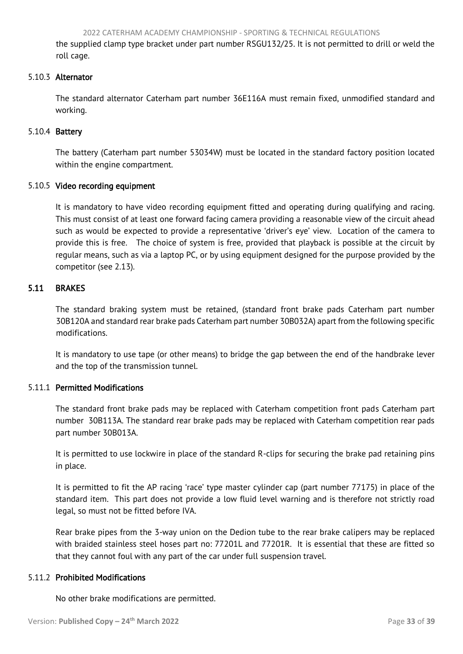<span id="page-33-1"></span>the supplied clamp type bracket under part number RSGU132/25. It is not permitted to drill or weld the roll cage.

# 5.10.3 Alternator

The standard alternator Caterham part number 36E116A must remain fixed, unmodified standard and working.

## 5.10.4 Battery

The battery (Caterham part number 53034W) must be located in the standard factory position located within the engine compartment.

#### 5.10.5 Video recording equipment

It is mandatory to have video recording equipment fitted and operating during qualifying and racing. This must consist of at least one forward facing camera providing a reasonable view of the circuit ahead such as would be expected to provide a representative 'driver's eye' view. Location of the camera to provide this is free. The choice of system is free, provided that playback is possible at the circuit by regular means, such as via a laptop PC, or by using equipment designed for the purpose provided by the competitor (see 2.13).

# <span id="page-33-0"></span>5.11 BRAKES

 The standard braking system must be retained, (standard front brake pads Caterham part number 30B120A and standard rear brake pads Caterham part number 30B032A) apart from the following specific modifications.

 It is mandatory to use tape (or other means) to bridge the gap between the end of the handbrake lever and the top of the transmission tunnel.

# 5.11.1 Permitted Modifications

The standard front brake pads may be replaced with Caterham competition front pads Caterham part number 30B113A. The standard rear brake pads may be replaced with Caterham competition rear pads part number 30B013A.

 It is permitted to use lockwire in place of the standard R-clips for securing the brake pad retaining pins in place.

 It is permitted to fit the AP racing 'race' type master cylinder cap (part number 77175) in place of the standard item. This part does not provide a low fluid level warning and is therefore not strictly road legal, so must not be fitted before IVA.

Rear brake pipes from the 3-way union on the Dedion tube to the rear brake calipers may be replaced with braided stainless steel hoses part no: 77201L and 77201R. It is essential that these are fitted so that they cannot foul with any part of the car under full suspension travel.

## 5.11.2 Prohibited Modifications

No other brake modifications are permitted.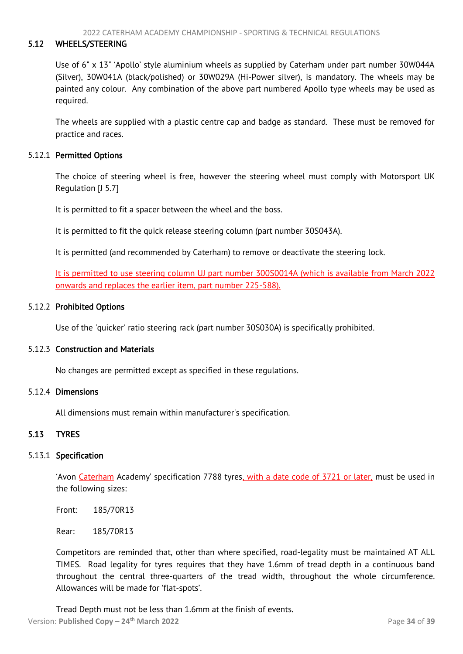#### <span id="page-34-2"></span>5.12 WHEELS/STEERING

<span id="page-34-0"></span> Use of 6" x 13" 'Apollo' style aluminium wheels as supplied by Caterham under part number 30W044A (Silver), 30W041A (black/polished) or 30W029A (Hi-Power silver), is mandatory. The wheels may be painted any colour. Any combination of the above part numbered Apollo type wheels may be used as required.

 The wheels are supplied with a plastic centre cap and badge as standard. These must be removed for practice and races.

#### 5.12.1 Permitted Options

The choice of steering wheel is free, however the steering wheel must comply with Motorsport UK Regulation [J 5.7]

It is permitted to fit a spacer between the wheel and the boss.

It is permitted to fit the quick release steering column (part number 30S043A).

It is permitted (and recommended by Caterham) to remove or deactivate the steering lock.

It is permitted to use steering column UJ part number 300S0014A (which is available from March 2022 onwards and replaces the earlier item, part number 225-588).

#### 5.12.2 Prohibited Options

Use of the 'quicker' ratio steering rack (part number 30S030A) is specifically prohibited.

#### 5.12.3 Construction and Materials

No changes are permitted except as specified in these regulations.

#### 5.12.4 Dimensions

<span id="page-34-1"></span>All dimensions must remain within manufacturer's specification.

#### 5.13 TYRES

## 5.13.1 Specification

'Avon Caterham Academy' specification 7788 tyres, with a date code of 3721 or later, must be used in the following sizes:

Front: 185/70R13

Rear: 185/70R13

 Competitors are reminded that, other than where specified, road-legality must be maintained AT ALL TIMES. Road legality for tyres requires that they have 1.6mm of tread depth in a continuous band throughout the central three-quarters of the tread width, throughout the whole circumference. Allowances will be made for 'flat-spots'.

Version: **Published Copy – 24 th March 2022** Page **34** of **39** Tread Depth must not be less than 1.6mm at the finish of events.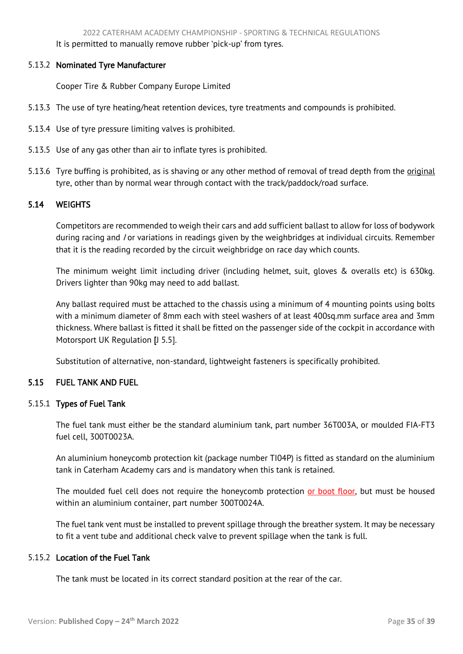It is permitted to manually remove rubber 'pick-up' from tyres.

## <span id="page-35-2"></span>5.13.2 Nominated Tyre Manufacturer

Cooper Tire & Rubber Company Europe Limited

- 5.13.3 The use of tyre heating/heat retention devices, tyre treatments and compounds is prohibited.
- 5.13.4 Use of tyre pressure limiting valves is prohibited.
- 5.13.5 Use of any gas other than air to inflate tyres is prohibited.
- 5.13.6 Tyre buffing is prohibited, as is shaving or any other method of removal of tread depth from the *original* tyre, other than by normal wear through contact with the track/paddock/road surface.

## <span id="page-35-0"></span>5.14 WEIGHTS

 Competitors are recommended to weigh their cars and add sufficient ballast to allow for loss of bodywork during racing and /or variations in readings given by the weighbridges at individual circuits. Remember that it is the reading recorded by the circuit weighbridge on race day which counts.

 The minimum weight limit including driver (including helmet, suit, gloves & overalls etc) is 630kg. Drivers lighter than 90kg may need to add ballast.

 Any ballast required must be attached to the chassis using a minimum of 4 mounting points using bolts with a minimum diameter of 8mm each with steel washers of at least 400sq.mm surface area and 3mm thickness. Where ballast is fitted it shall be fitted on the passenger side of the cockpit in accordance with Motorsport UK Regulation [J 5.5].

<span id="page-35-1"></span>Substitution of alternative, non-standard, lightweight fasteners is specifically prohibited.

## 5.15 FUEL TANK AND FUEL

# 5.15.1 Types of Fuel Tank

The fuel tank must either be the standard aluminium tank, part number 36T003A, or moulded FIA-FT3 fuel cell, 300T0023A.

An aluminium honeycomb protection kit (package number TI04P) is fitted as standard on the aluminium tank in Caterham Academy cars and is mandatory when this tank is retained.

The moulded fuel cell does not require the honeycomb protection or boot floor, but must be housed within an aluminium container, part number 300T0024A.

 The fuel tank vent must be installed to prevent spillage through the breather system. It may be necessary to fit a vent tube and additional check valve to prevent spillage when the tank is full.

## 5.15.2 Location of the Fuel Tank

The tank must be located in its correct standard position at the rear of the car.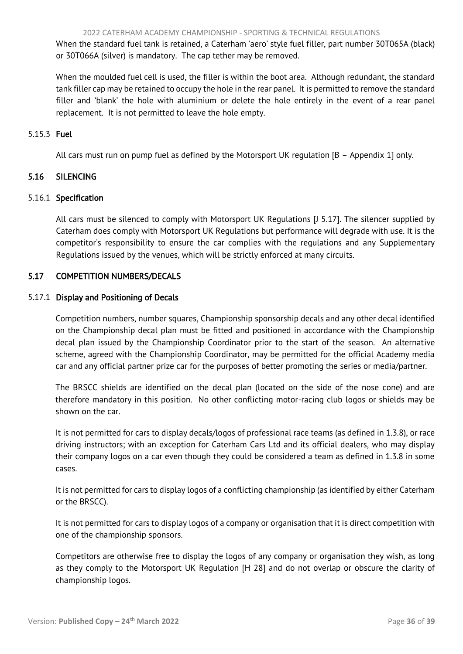<span id="page-36-2"></span> When the standard fuel tank is retained, a Caterham 'aero' style fuel filler, part number 30T065A (black) or 30T066A (silver) is mandatory. The cap tether may be removed.

 When the moulded fuel cell is used, the filler is within the boot area. Although redundant, the standard tank filler cap may be retained to occupy the hole in the rear panel. It is permitted to remove the standard filler and 'blank' the hole with aluminium or delete the hole entirely in the event of a rear panel replacement. It is not permitted to leave the hole empty.

# 5.15.3 Fuel

<span id="page-36-0"></span>All cars must run on pump fuel as defined by the Motorsport UK regulation [B – Appendix 1] only.

# 5.16 SILENCING

# 5.16.1 Specification

 All cars must be silenced to comply with Motorsport UK Regulations [J 5.17]. The silencer supplied by Caterham does comply with Motorsport UK Regulations but performance will degrade with use. It is the competitor's responsibility to ensure the car complies with the regulations and any Supplementary Regulations issued by the venues, which will be strictly enforced at many circuits.

# <span id="page-36-1"></span>5.17 COMPETITION NUMBERS/DECALS

# 5.17.1 Display and Positioning of Decals

 Competition numbers, number squares, Championship sponsorship decals and any other decal identified on the Championship decal plan must be fitted and positioned in accordance with the Championship decal plan issued by the Championship Coordinator prior to the start of the season. An alternative scheme, agreed with the Championship Coordinator, may be permitted for the official Academy media car and any official partner prize car for the purposes of better promoting the series or media/partner.

 The BRSCC shields are identified on the decal plan (located on the side of the nose cone) and are therefore mandatory in this position. No other conflicting motor-racing club logos or shields may be shown on the car.

 It is not permitted for cars to display decals/logos of professional race teams (as defined in 1.3.8), or race driving instructors; with an exception for Caterham Cars Ltd and its official dealers, who may display their company logos on a car even though they could be considered a team as defined in 1.3.8 in some cases.

 It is not permitted for cars to display logos of a conflicting championship (as identified by either Caterham or the BRSCC).

 It is not permitted for cars to display logos of a company or organisation that it is direct competition with one of the championship sponsors.

 Competitors are otherwise free to display the logos of any company or organisation they wish, as long as they comply to the Motorsport UK Regulation [H 28] and do not overlap or obscure the clarity of championship logos.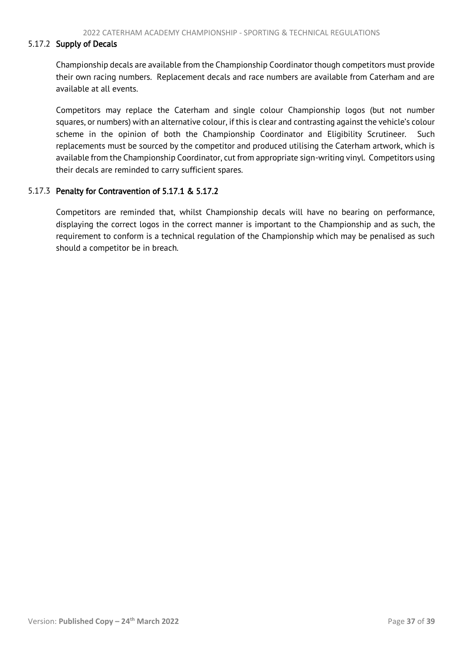#### 5.17.2 Supply of Decals

Championship decals are available from the Championship Coordinator though competitors must provide their own racing numbers. Replacement decals and race numbers are available from Caterham and are available at all events.

Competitors may replace the Caterham and single colour Championship logos (but not number squares, or numbers) with an alternative colour, if this is clear and contrasting against the vehicle's colour scheme in the opinion of both the Championship Coordinator and Eligibility Scrutineer. Such replacements must be sourced by the competitor and produced utilising the Caterham artwork, which is available from the Championship Coordinator, cut from appropriate sign-writing vinyl. Competitors using their decals are reminded to carry sufficient spares.

# 5.17.3 Penalty for Contravention of 5.17.1 & 5.17.2

Competitors are reminded that, whilst Championship decals will have no bearing on performance, displaying the correct logos in the correct manner is important to the Championship and as such, the requirement to conform is a technical regulation of the Championship which may be penalised as such should a competitor be in breach.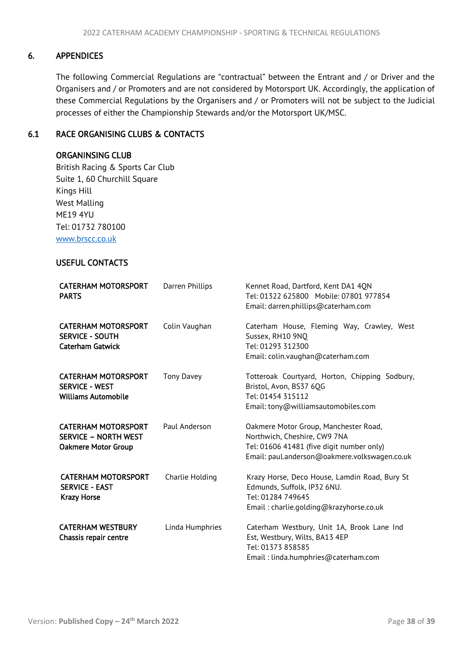# <span id="page-38-2"></span>6. APPENDICES

<span id="page-38-0"></span>The following Commercial Regulations are "contractual" between the Entrant and / or Driver and the Organisers and / or Promoters and are not considered by Motorsport UK. Accordingly, the application of these Commercial Regulations by the Organisers and / or Promoters will not be subject to the Judicial processes of either the Championship Stewards and/or the Motorsport UK/MSC.

# <span id="page-38-1"></span>6.1 RACE ORGANISING CLUBS & CONTACTS

#### ORGANINSING CLUB

 British Racing & Sports Car Club Suite 1, 60 Churchill Square Kings Hill West Malling ME19 4YU Tel: 01732 780100 [www.brscc.co.uk](http://www.brscc.co.uk/)

# USEFUL CONTACTS

| <b>CATERHAM MOTORSPORT</b><br><b>PARTS</b>                                              | Darren Phillips   | Kennet Road, Dartford, Kent DA1 40N<br>Tel: 01322 625800 Mobile: 07801 977854<br>Email: darren.phillips@caterham.com                                                |  |
|-----------------------------------------------------------------------------------------|-------------------|---------------------------------------------------------------------------------------------------------------------------------------------------------------------|--|
| <b>CATERHAM MOTORSPORT</b><br><b>SERVICE - SOUTH</b><br><b>Caterham Gatwick</b>         | Colin Vaughan     | Caterham House, Fleming Way, Crawley, West<br>Sussex, RH10 9NO<br>Tel: 01293 312300<br>Email: colin.vaughan@caterham.com                                            |  |
| <b>CATERHAM MOTORSPORT</b><br><b>SERVICE - WEST</b><br><b>Williams Automobile</b>       | <b>Tony Davey</b> | Totteroak Courtyard, Horton, Chipping Sodbury,<br>Bristol, Avon, BS37 6OG<br>Tel: 01454 315112<br>Email: tony@williamsautomobiles.com                               |  |
| <b>CATERHAM MOTORSPORT</b><br><b>SERVICE - NORTH WEST</b><br><b>Oakmere Motor Group</b> | Paul Anderson     | Oakmere Motor Group, Manchester Road,<br>Northwich, Cheshire, CW9 7NA<br>Tel: 01606 41481 (five digit number only)<br>Email: paul.anderson@oakmere.volkswagen.co.uk |  |
| <b>CATERHAM MOTORSPORT</b><br><b>SERVICE - EAST</b><br><b>Krazy Horse</b>               | Charlie Holding   | Krazy Horse, Deco House, Lamdin Road, Bury St<br>Edmunds, Suffolk, IP32 6NU.<br>Tel: 01284 749645<br>Email: charlie.golding@krazyhorse.co.uk                        |  |
| <b>CATERHAM WESTBURY</b><br>Chassis repair centre                                       | Linda Humphries   | Caterham Westbury, Unit 1A, Brook Lane Ind<br>Est, Westbury, Wilts, BA13 4EP<br>Tel: 01373 858585<br>Email: linda.humphries@caterham.com                            |  |